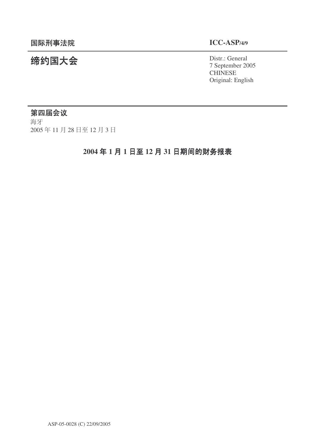## 㓨㑺Ӯ Distr.: General

7 September 2005 **CHINESE** Original: English

## 第四届会议

海牙 2005年11月28日至12月3日

## 2004年1月1日至12月31日期间的财务报表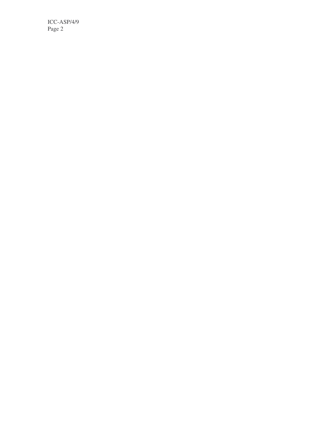ICC-ASP/4/9 Page 2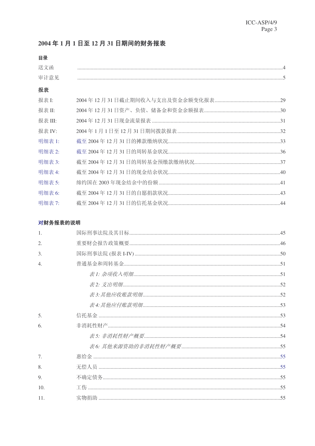## 2004年1月1日至12月31日期间的财务报表

| 送文函     |  |
|---------|--|
| 审计意见    |  |
| 报表      |  |
| 报表 I:   |  |
| 报表 II:  |  |
| 报表 III: |  |
| 报表 IV:  |  |
| 明细表 1:  |  |
| 明细表 2:  |  |
| 明细表 3:  |  |
| 明细表 4:  |  |
| 明细表 5:  |  |
| 明细表 6:  |  |
| 明细表 7:  |  |

#### 对财务报表的说明

| 1.               |  |
|------------------|--|
| 2.               |  |
| 3.               |  |
| $\overline{4}$ . |  |
|                  |  |
|                  |  |
|                  |  |
|                  |  |
| 5.               |  |
| 6.               |  |
|                  |  |
|                  |  |
| 7.               |  |
| 8.               |  |
| 9.               |  |
| 10.              |  |
| 11.              |  |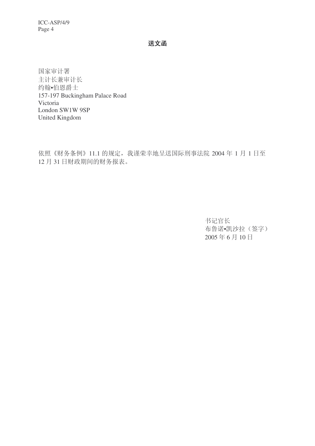## 送文函

国家审计署 主计长兼审计长 约翰•伯恩爵士 157-197 Buckingham Palace Road Victoria London SW1W 9SP United Kingdom

依照《财务条例》11.1 的规定, 我谨荣幸地呈送国际刑事法院 2004 年 1 月 1 日至 12月31日财政期间的财务报表。

> 书记官长 布鲁诺•凯沙拉(签字) 2005年6月10日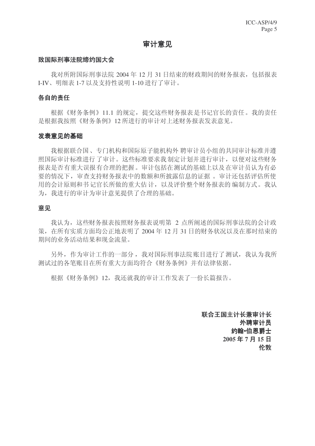## 宙计意见

#### 致国际刑事法院缔约国大会

我对所附国际刑事法院 2004 年 12 月 31 日结束的财政期间的财务报表, 包括报表 I-IV、明细表 1-7 以及支持性说明 1-10 讲行了审计。

#### 各自的责任

根据《财务条例》11.1 的规定, 提交这些财务报表是书记官长的责任。我的责任 是根据我按照《财务条例》12 所进行的审计对上述财务报表发表意见。

#### 发表意见的基础

我根据联合国、专门机构和国际原子能机构外 聘审计员小组的共同审计标准并遵 照国际审计标准进行审计。这些标准要求我制定计划并进行审计,以便对这些财务 报表是否有重大误报有合理的把握。审计包括在测试的基础上以及在审计员认为有必 要的情况下, 审查支持财务报表中的数额和所披露信息的证据。审计还包括评估所使 用的会计原则和书记官长所做的重大估计,以及评价整个财务报表的编制方式。我认 为, 我进行的审计为审计意见提供了合理的基础。

### 意见

我认为,这些财务报表按照财务报表说明第 2 点所阐述的国际刑事法院的会计政 策, 在所有实质方面均公正地表明了 2004 年 12 月 31 日的财务状况以及在那时结束的 期间的业务活动结果和现金流量。

另外,作为审计工作的一部分,我对国际刑事法院账目进行了测试,我认为我所 测试过的各笔账目在所有重大方面均符合《财务条例》并有法律依据。

根据《财务条例》12,我还就我的审计工作发表了一份长篇报告。

联合王国主计长兼审计长 外聘审计员 约翰•伯恩爵士 **2005** ᑈ **7** ᳜ **15** ᮹ 伦敦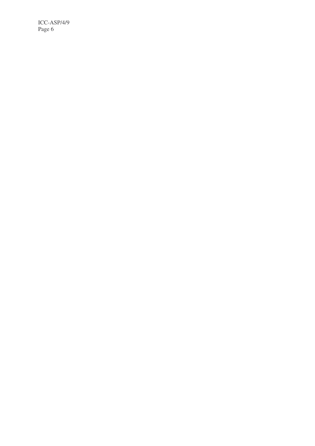ICC-ASP/4/9 Page 6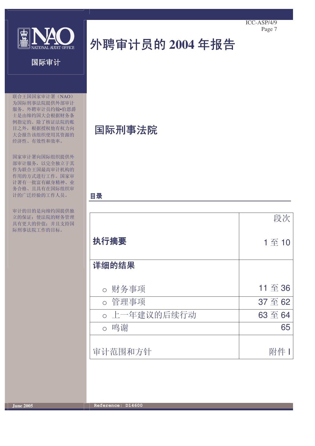

## 国际审计

联合王国国家审计署(NAO) 为国际刑事法院提供外部审计 服务。外聘审计员约翰•伯恩爵 士是由缔约国大会根据财务条 例指定的。除了核证法院的账 目之外, 根据授权他有权力向 大会报告该组织使用其资源的 经济性、有效性和效率。

国家审计署向国际组织提供外 部审计服务, 以完全独立于其 作为联合王国最高审计机构的 作用的方式进行工作。国家审 计署有一批富有献身精神、业 务合格、且具有在国际组织审 计的广泛经验的工作人员。

审计的目的是向缔约国提供独 立的保证; 使法院的财务管理 具有更大的价值;并且支持国 际刑事法院工作的目标。

# 外聘审计员的 2004 年报告

国际刑事法院

## 目录

|               | 段次    |
|---------------|-------|
| 执行摘要          | 1至10  |
| 详细的结果         |       |
| ○ 财务事项        | 11至36 |
| o 管理事项        | 37至62 |
| 。上一年建议的后续行动   | 63至64 |
| 鸣谢<br>$\circ$ | 65    |
|               |       |
| 审计范围和方针       | 附件    |

**June 2005 Reference: D14600**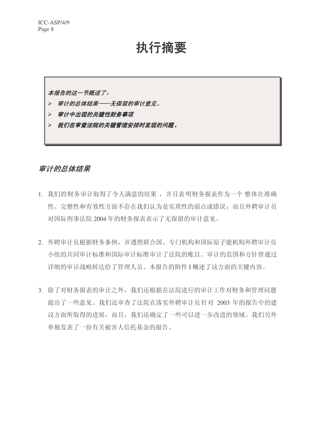## 执行摘要

本报告的这一节概述了:

- ▶ 审计的总体结果 -- 无保留的审计意见。
- ▶ 审计中出现的关键性财务事项
- ▶ 我们在审查法院的关键管理安排时发现的问题。

## 审计的总体结果

- 1. 我们的财务审计取得了令人满意的结果, 并且表明财务报表作为一个 整体在准确 性、完整性和有效性方面不存在我们认为是实质性的弱点或错误: 而且外聘审计员 对国际刑事法院 2004 年的财务报表表示了无保留的审计意见。
- 2. 外聘审计员根据财务条例, 并遵照联合国、专门机构和国际原子能机构外聘审计员 小组的共同审计标准审计了法院的账目。审计的范围和方针曾通过 详细的审计战略转达给了管理人员。本报告的附件I概述了这方面的关键内容。
- 3. 除了对财务报表的审计之外,我们还根据在法院进行的审计工作对财务和管理问题 提出了一些意见。我们还审查了法院在落实外聘审计员针对 2003 年的报告中的建 议方面所取得的进展,而且,我们还确定了一些可以进一步改进的领域。我们另外 单独发表了一份有关被害人信托基金的报告。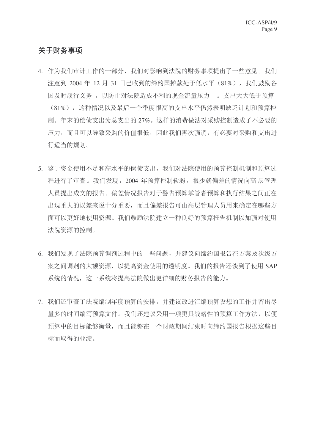## 关于财务事项

- 4. 作为我们审计工作的一部分, 我们对影响到法院的财务事项提出了一些意见。我们 注意到 2004 年 12 月 31 日已收到的缔约国摊款处于低水平 (81%), 我们鼓励各 国及时履行义务, 以防止对法院造成不利的现金流量压力。。支出大大低于预算 (81%), 这种情况以及最后一个季度很高的支出水平仍然表明缺乏计划和预算控 制。年末的偿债支出为总支出的 27%。这样的消费做法对采购控制造成了不必要的 压力,而且可以导致采购的价值很低,因此我们再次强调,有必要对采购和支出进 行适当的规划。
- 5. 鉴于资金使用不足和高水平的偿债支出, 我们对法院使用的预算控制机制和预算过 程进行了审查。我们发现, 2004 年预算控制软弱, 很少就偏差的情况向高 层管理 人员提出成文的报告。偏差情况报告对于警告预算掌管者预算和执行结果之间正在 出现重大的误差来说十分重要,而且偏差报告可由高层管理人员用来确定在哪些方 面可以更好地使用答源。我们鼓励法院建立一种良好的预算报告机制以加强对使用 法院资源的控制。
- 6. 我们发现了法院预算调剂过程中的一些问题, 并建议向缔约国报告在方案及次级方 案之间调剂的大额资源,以提高资金使用的透明度。我们的报告还谈到了使用 SAP 系统的情况, 这一系统将提高法院做出更详细的财务报告的能力。
- 7. 我们还审查了法院编制年度预算的安排,并建议改讲汇编预算设想的工作并留出尽 量多的时间编写预算文件。我们还建议采用一项更具战略性的预算工作方法,以便 预算中的目标能够衡量,而且能够在一个财政期间结束时向缔约国报告根据这些目 标而取得的业绩。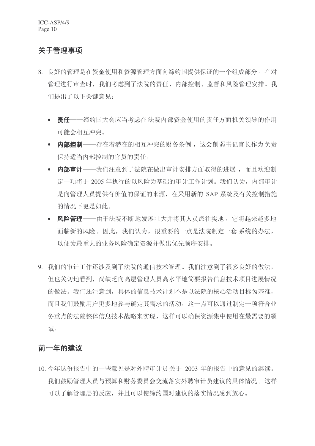## 关于管理事项

- 8. 良好的管理是在资金使用和资源管理方面向缔约国提供保证的一个组成部分。在对 管理进行审查时,我们考虑到了法院的责任、内部控制、监督和风险管理安排。我 们提出了以下关键意见:
	- 责任——缔约国大会应当考虑在法院内部资金使用的责任方面机关领导的作用 可能会相互冲突。
	- 内部控制——存在着潜在的相互冲突的财务条例, 这会削弱书记官长作为负责 保持适当内部控制的官员的责任。
	- 内部宙计——我们注意到了法院在做出审计安排方面取得的进展,而且欢迎制 定一项将于 2005 年执行的以风险为基础的审计工作计划。我们认为, 内部审计 是向管理人员提供有价值的保证的来源, 在采用新的 SAP 系统及有关控制措施 的情况下更是如此。
	- 风险管理——由于法院不断地发展壮大并将其人员派往实地, 它将越来越多地 面临新的风险。因此,我们认为,很重要的一点是法院制定一套 系统的办法, 以便为最重大的业务风险确定资源并做出优先顺序安排。
- 9. 我们的审计工作还涉及到了法院的通信技术管理。我们注意到了很多良好的做法, 但也关切地看到, 尚缺乏向高层管理人员高水平地简要报告信息技术项目进展情况 的做法。我们还注意到, 具体的信息技术计划不是以法院的核心活动目标为基准, 而且我们鼓励用户更多地参与确定其需求的活动,这一点可以通过制定一项符合业 务重点的法院整体信息技术战略来实现, 这样可以确保资源集中使用在最需要的领 h

## 前一年的建议

10. 今年这份报告中的一些意见是对外聘审计员关于 2003 年的报告中的意见的继续。 我们鼓励管理人员与预算和财务委员会交流落实外聘审计员建议的具体情况。这样 可以了解管理层的反应,并且可以使缔约国对建议的落实情况感到放心。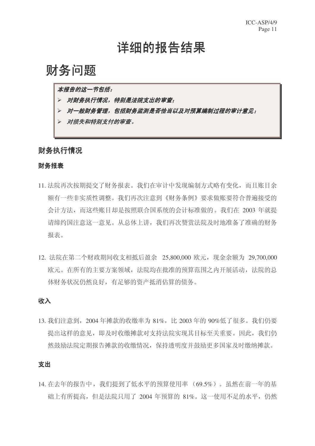## 详细的报告结果

## 财务问题

本报告的这一节包括: ▷ 对财务执行情况, 特别是法院支出的审查;

- ▶ 对一般财务管理,包括财务监测是否恰当以及对预算编制过程的审计意见;
- ▶ 对损失和特别支付的审查。

## 财务执行情况

### 财务报表

- 11. 法院再次按期提交了财务报表。我们在审计中发现编制方式略有变化,而且账目余 额有一些非实质性调整。我们再次注意到《财务条例》要求做账要符合普遍接受的 会计方法,而这些账目却是按照联合国系统的会计标准做的。我们在 2003 年就提 请缔约国注意这一意见。从总体上讲,我们再次赞赏法院及时地准备了准确的财务 报表。
- 12. 法院在第二个财政期间收支相抵后盈余 25,800,000 欧元, 现金余额为 29,700,000 欧元。在所有的主要方案领域, 法院均在批准的预算范围之内开展活动, 法院的总 体财务状况仍然良好,有足够的资产抵消估算的债务。

### 收入

13. 我们注意到, 2004 年摊款的收缴率为 81%, 比 2003 年的 90%低了很多。我们仍要 提出这样的意见,即及时收缴摊款对支持法院实现其目标至关重要。因此,我们仍 然鼓励法院定期报告摊款的收缴情况, 保持透明度并鼓励更多国家及时缴纳摊款。

### 支出

14. 在去年的报告中, 我们提到了低水平的预算使用率 (69.5%)。虽然在前一年的基 础上有所提高, 但是法院只用了 2004 年预算的 81%。这一使用不足的水平, 仍然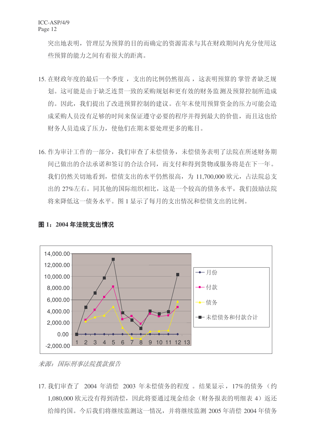突出地表明, 管理层为预算的目的而确定的资源需求与其在财政期间内充分使用这 些预算的能力之间有着很大的距离。

- 15. 在财政年度的最后一个季度, 文出的比例仍然很高, 这表明预算的 掌管者缺乏规 划。这可能是由于缺乏连贯一致的采购规划和更有效的财务监测及预算控制所造成 的。因此,我们提出了改进预算控制的建议。在年末使用预算资金的压力可能会造 成采购人员没有足够的时间来保证遵守必要的程序并得到最大的价值,而且这也给 财务人员造成了压力, 使他们在期末要处理更多的账目。
- 16. 作为审计工作的一部分, 我们审查了未偿债务, 未偿债务表明了法院在所述财务期 间已做出的合法承诺和签订的合法合同,而支付和得到货物或服务将是在下一年。 我们仍然关切地看到, 偿债支出的水平仍然很高, 为 11,700,000 欧元, 占法院总支 出的 27%左右。同其他的国际组织相比, 这是一个较高的债务水平, 我们鼓励法院 将来降低这一债务水平。图 1 显示了每月的支出情况和偿债支出的比例。



### 图 1: 2004 年法院支出情况

17. 我们审杳了 2004 年清偿 2003 年未偿债务的程度。结果显示, 17%的债务(约 1,080,000 欧元没有得到清偿,因此将要通过现金结余(财务报表的明细表 4) 返还 给缔约国。今后我们将继续监测这一情况,并将继续监测 2005 年清偿 2004 年债务

来源: 国际刑事法院拨款报告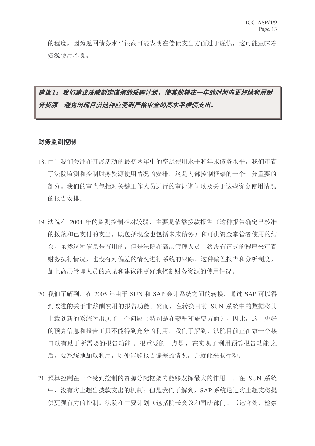的程度,因为返回债务水平很高可能表明在偿债支出方面过于谨慎,这可能意味着 资源使用不良。

建议1:我们建议法院制定谨慎的采购计划,使其能够在一年的时间内更好地利用财 务资源,避免出现目前这种应受到严格审查的高水平偿债支出。

#### 财务监测控制

- 18. 由于我们关注在开展活动的最初两年中的资源使用水平和年末债务水平, 我们审查 了法院监测和控制财务资源使用情况的安排。这是内部控制框架的一个十分重要的 部分。我们的审查包括对关键工作人员进行的审计询问以及关于这些资金使用情况 的报告安排。
- 19. 法院在 2004 年的监测控制相对较弱, 主要是依靠拨款报告 (这种报告确定已核准 的拨款和已支付的支出, 既包括现金也包括未来债务) 和可供资金掌管者使用的结 余。虽然这种信息是有用的, 但是法院在高层管理人员一级没有正式的程序来审查 财务执行情况,也没有对偏差的情况进行系统的跟踪。这种偏差报告和分析制度, 加上高层管理人员的意见和建议能更好地控制财务资源的使用情况。
- 20. 我们了解到, 在 2005 年由于 SUN 和 SAP 会计系统之间的转换, 通过 SAP 可以得 到改讲的关于非薪酬费用的报告功能。然而, 在转换目前 SUN 系统中的数据将其 上载到新的系统时出现了一个问题(特别是在薪酬和旅费方面)。因此,这一更好 的预算信息和报告工具不能得到充分的利用。我们了解到, 法院目前正在做一个接 口以有助于所需要的报告功能。很重要的一点是, 在实现了利用预算报告功能 之 后, 要系统地加以利用, 以便能够报告偏差的情况, 并就此采取行动。
- 21. 预算控制在一个受到控制的资源分配框架内能够发挥最大的作用。 在 SUN 系统 中, 没有防止超出拨款支出的机制; 但是我们了解到, SAP 系统通过防止超支将提 供更强有力的控制。法院在主要计划(包括院长会议和司法部门、书记官处、检察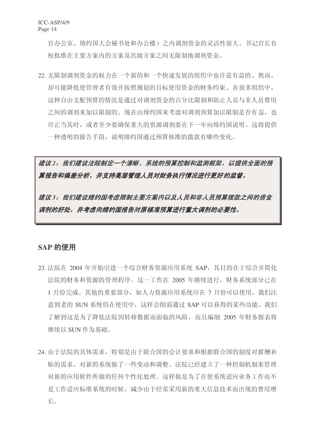官办公室、缔约国大会秘书处和办公楼)之内调剂资金的灵活性很大。书记官长有 权批准在主要方案内的方案及次级方案之间无限制地调剂资金。

22. 无限制调剂资金的权力在一个新的和一个快速发展的组织中也许是有益的。然而, 却可能降低使管理者有效并按照规划的目标使用资金的财务约束。在很多组织中, 这种自由支配预算的情况是通过对调剂资金的百分比限制和防止人员与非人员费用 之间的调剂来加以限制的。现在由缔约国来考虑对调剂预算加以限制是否有益, 也 许正当其时, 或者至少要确保重大的资源调剂要在下一年向缔约国说明。这将提供 一种透明的报告手段, 说明缔约国通过预算核准的拨款有哪些变化。

## 建议2*: 我们建议法院制定一个清晰、系统的预算控制和监测框架,以提供全面的预* 算报告和偏差分析,并支持高层管理人员对财务执行情况进行更好的监督。

*建议3:我们建议缔约国考虑限制主要方案内以及人员和非人员预算拨款之间的资金* 调剂的好处,并考虑向缔约国报告对原核准预算进行重大调剂的必要性。

## **SAP** 的使用

- 23. 法院在 2004 年开始引进一个综合财务资源应用系统 SAP, 其目的在于综合并简化 法院的财务和资源的管理程序。这一工作在 2005 年继续进行, 财务系统部分已在 1 月份完成。其他的重要部分, 如人力资源应用系统应在 7 月份可以使用。我们注 意到老的 SUN 系统仍在使用中, 这样会削弱通过 SAP 可以获得的某些功能。我们 了解到这是为了降低法院因转移数据而面临的风险,而且编制 2005 年财务报表将 继续以 SUN 作为基础。
- 24. 由于法院的具体需求, 特别是由于联合国的会计要求和根据联合国的制度对薪酬补 贴的需求, 对新的系统做了一些变动和调整。法院已经建立了一种控制机制来管理 对新的应用软件所做的任何个性化处理。这样做是为了在使系统适应业务工作而不 是工作适应标准系统的时候,减少由于经常采用新的重大信息技术而出现的费用增 长。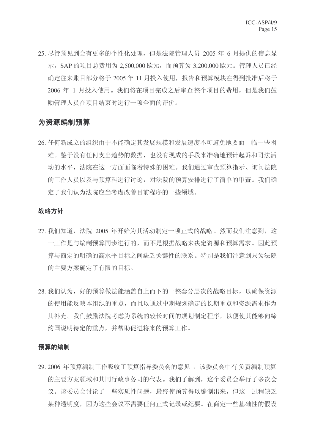25. 尽管预见到会有更多的个性化处理, 但是法院管理人员 2005 年 6 月提供的信息显 示, SAP 的项目总费用为 2,500,000 欧元, 而预算为 3,200,000 欧元。管理人员已经 确定往来账目部分将于 2005 年 11 月投入使用, 报告和预算模块在得到批准后将于 2006 年 1 月投入使用。我们将在项目完成之后审查整个项目的费用, 但是我们鼓 励管理人员在项目结束时进行一项全面的评价。

## 为资源编制预算

26. 任何新成立的组织由于不能确定其发展规模和发展速度不可避免地要面。临一些困 难。鉴于没有任何支出趋势的数据, 也没有现成的手段来准确地预计起诉和司法活 动的水平, 法院在这一方面面临着特殊的困难。我们通过审查预算指示、询问法院 的工作人员以及与预算科进行讨论,对法院的预算安排进行了简单的审查。我们确 定了我们认为法院应当考虑改善目前程序的一些领域。

#### 战略方针

- 27. 我们知道, 法院 2005 年开始为其活动制定一项正式的战略。然而我们注意到, 这 一工作是与编制预算同步进行的,而不是根据战略来决定资源和预算需求。因此预 算与商定的明确的高水平目标之间缺乏关键性的联系。特别是我们注意到只为法院 的主要方案确定了有限的目标。
- 28. 我们认为, 好的预算做法能涵盖自上而下的一整套分层次的战略目标, 以确保资源 的使用能反映本组织的重点,而且以通过中期规划确定的长期重点和资源需求作为 其补充。我们鼓励法院考虑为系统的较长时间的规划制定程序,以便使其能够向缔 约国说明待定的重点,并帮助促讲将来的预算工作。

#### 预算的编制

29. 2006 年预算编制工作吸收了预算指导委员会的意见, 该委员会中有负责编制预算 的主要方案领域和共同行政事务司的代表。我们了解到, 这个委员会举行了多次会 议。该委员会讨论了一些实质性问题,最终使预算得以编制出来,但这一过程缺乏 某种透明度,因为这些会议不需要任何正式记录或纪要。在商定一些基础性的假设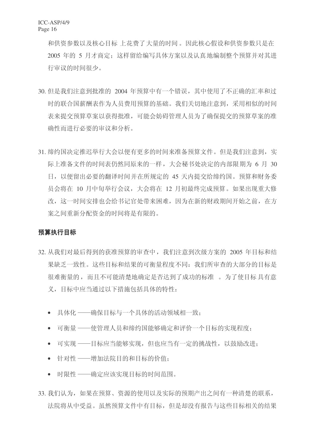和供资参数以及核心目标 上花费了大量的时间。因此核心假设和供资参数只是在 2005 年的 5 月才商定: 这样留给编写具体方案以及认真地编制整个预算并对其讲 行审议的时间很少。

- 30. 但是我们注意到批准的 2004 年预算中有一个错误, 其中使用了不正确的汇率和过 时的联合国薪酬表作为人员费用预算的基础。我们关切地注意到,采用相似的时间 表来提交预算草案以获得批准,可能会妨碍管理人员为了确保提交的预算草案的准 确性而进行必要的审议和分析。
- 31. 缔约国决定推迟举行大会以便有更多的时间来准备预算文件。但是我们注意到, 实 际上准备文件的时间表仍然同原来的一样,大会秘书处决定的内部限期为 6 月 30 日, 以便留出必要的翻译时间并在所规定的 45 天内提交给缔约国。预算和财务委 员会将在 10 月中旬举行会议, 大会将在 12 月初最终完成预算。如果出现重大修 改,这一时间安排也会给书记官处带来困难,因为在新的财政期间开始之前,在方 案之间重新分配资金的时间将是有限的。

### 预算执行目标

- 32. 从我们对最后得到的获准预算的审查中, 我们注意到次级方案的 2005 年目标和结 果缺乏一致性。这些目标和结果的可衡量程度不同: 我们所审查的大部分的目标是 很难衡量的,而且不可能清楚地确定是否达到了成功的标准。为了使目标具有意 义,目标中应当通过以下措施包括具体的特性:
	- 具体化 ——确保目标与一个具体的活动领域相一致:
	- 可衡量 ——使管理人员和缔约国能够确定和评价一个目标的实现程度:
	- 可实现 ——目标应当能够实现, 但也应当有一定的挑战性, 以鼓励改进;
	- 针对性 ——增加法院目的和目标的价值;
	- 时限性 ——确定应该实现目标的时间范围。
- 33. 我们认为, 如果在预算、资源的使用以及实际的预期产出之间有一种清楚的联系, 法院将从中受益。虽然预算文件中有目标,但是却没有报告与这些目标相关的结果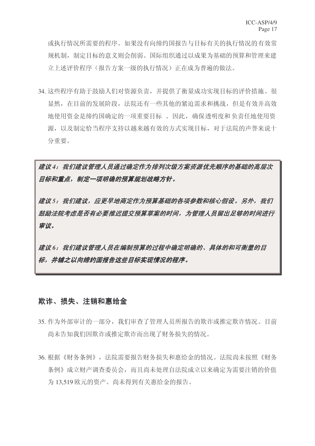或执行情况所需要的程序。如果没有向缔约国报告与目标有关的执行情况的有效常 规机制, 制定目标的意义则会削弱。国际组织通过以成果为基础的预算和管理来建 立上述评价程序(报告方案一级的执行情况)正在成为普遍的做法。

34. 这些程序有助于鼓励人们对资源负责, 并提供了衡量成功实现目标的评价措施。很 显然, 在目前的发展阶段, 法院还有一些其他的紧迫需求和挑战, 但是有效并高效 地使用资金是缔约国确定的一项重要目标 。 因此,确保透明度和负责任地使用资 源, 以及制定恰当程序支持以越来越有效的方式实现目标, 对于法院的声誉来说十 分重要。

*建议4:我们建议管理人员通过确定作为排列次级方案资源优先顺序的基础的高层次* 目标和重点,制定一项明确的预算规划战略方针。

建议5: 我们建议,应更早地商定作为预算基础的各项参数和核心假设。另外,我们 鼓励法院考虑是否有必要推迟提交预算草案的时间,为管理人员留出足够的时间进行 审议。

ᓎ䆂 *6*˖៥Ӏᓎ䆂ㅵ⧚Ҏਬ㓪ࠊ乘ㅫⱘ䖛Ё⹂ᅮᯢ⹂ⱘǃԧⱘৃ㸵䞣ⱘⳂ 标,并辅之以向缔约国报告这些目标实现情况的程序。

## 欺诈、损失、注销和惠给金

- 35. 作为外部审计的一部分, 我们审查了管理人员所报告的欺诈或推定欺诈情况。目前 尚未告知我们因欺诈或推定欺诈而出现了财务损失的情况。
- 36. 根据《财务条例》,法院需要报告财务损失和惠给金的情况。法院尚未按照《财务 条例》成立财产调查委员会,而且尚未处理自法院成立以来确定为需要注销的价值 为 13.519 欧元的资产。尚未得到有关惠给金的报告。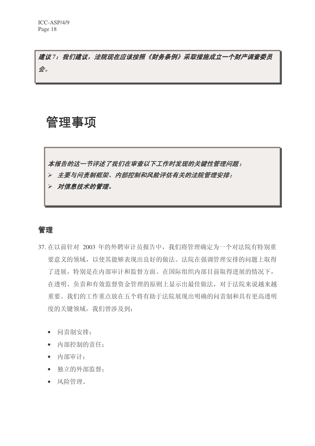建议7: 我们建议,法院现在应该按照《财务条例》采取措施成立一个财产调查委员 会。

## 管理事项

本报告的这一节评述了我们在审查以下工作时发现的关键性管理问题:

- ▶ 主要与问责制框架、内部控制和风险评估有关的法院管理安排:
- ▶ 对信息技术的管理。

## 管理

- 37. 在以前针对 2003 年的外聘审计员报告中, 我们将管理确定为一个对法院有特别重 要意义的领域,以使其能够表现出良好的做法。法院在强调管理安排的问题上取得 了讲展, 特别是在内部审计和监督方面。在国际组织内部目前取得讲展的情况下, 在透明、负责和有效监督资金管理的原则上显示出最佳做法, 对于法院来说越来越 重要。我们的工作重点放在五个将有助于法院展现出明确的问责制和具有更高透明 度的关键领域,我们曾涉及到:
	- 问责制安排:
	- 内部控制的责任:
	- 内部审计:
	- 独立的外部监督:
	- 风险管理。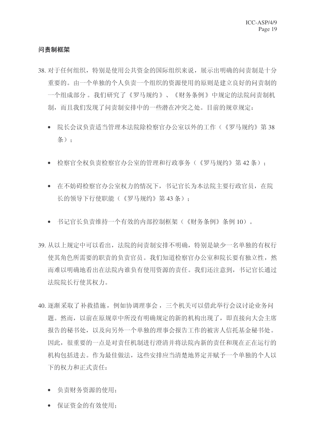### 问责制框架

- 38. 对于任何组织, 特别是使用公共资金的国际组织来说, 展示出明确的问责制是十分 重要的。由一个单独的个人负责一个组织的资源使用的原则是建立良好的问责制的 一个组成部分。我们研究了《罗马规约》、《财务条例》中规定的法院问责制机 制,而且我们发现了问责制安排中的一些潜在冲突之处。目前的规章规定:
	- 院长会议负责适当管理本法院除检察官办公室以外的工作(《罗马规约》第38 条):
	- 检察官全权负责检察官办公室的管理和行政事务(《罗马规约》第42条);
	- 在不妨碍检察官办公室权力的情况下,书记官长为本法院主要行政官员,在院 长的领导下行使职能(《罗马规约》第43条):
	- 书记官长负责维持一个有效的内部控制框架(《财务条例》条例 10)。
- 39. 从以上规定中可以看出, 法院的问责制安排不明确, 特别是缺少一名单独的有权行 使其角色所需要的职责的负责官员。我们知道检察官办公室和院长要有独立性, 然 而难以明确地看出在法院内谁负有使用资源的责任。我们还注意到, 书记官长通过 法院院长行使其权力。
- 40. 逐渐采取了补救措施, 例如协调理事会, 三个机关可以借此举行会议讨论业务问 题。然而, 以前在原规章中所没有明确规定的新的机构出现了, 即直接向大会主席 报告的秘书处, 以及向另外一个单独的理事会报告工作的被害人信托基金秘书处。 因此,很重要的一点是对责任机制进行澄清并将法院内新的责任和现在正在运行的 机构包括进去。作为最佳做法,这些安排应当清楚地界定并赋予一个单独的个人以 下的权力和正式责任:
	- 负责财务资源的使用:
	- 保证资金的有效使用: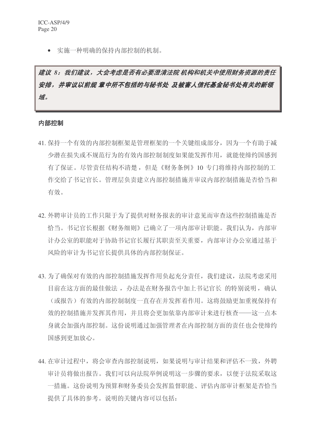• 实施一种明确的保持内部控制的机制。

## 建议 8:我们建议,大会考虑是否有必要澄清法院 机构和机关中使用财务资源的责任 ᅝᥦˈᑊᅵ䆂ҹࠡ㾘 ゴЁ᠔ϡࣙᣀⱘϢ⾬к໘ ঞ㹿ᆇҎֵᠬ䞥⾬к໘᳝݇ⱘᮄ乚 域。

#### 内部控制

- 41. 保持一个有效的内部控制框架是管理框架的一个关键组成部分,因为一个有助于减 少潜在损失或不规范行为的有效内部控制制度如果能发挥作用, 就能使缔约国感到 有了保证。尽管责任结构不清楚,但是《财务条例》10 专门将维持内部控制的工 作交给了书记官长。管理层负责建立内部控制措施并审议内部控制措施是否恰当和 有效。
- 42. 外聘审计员的工作只限于为了提供对财务报表的审计意见而审查这些控制措施是否 恰当。书记官长根据《财务细则》已确立了一项内部审计职能。我们认为, 内部审 计办公室的职能对于协助书记官长履行其职责至关重要, 内部审计办公室通过基于 风险的审计为书记官长提供具体的内部控制保证。
- 43. 为了确保对有效的内部控制措施发挥作用负起充分责任, 我们建议, 法院考虑采用 目前在这方面的最佳做法, 办法是在财务报告中加上书记官长 的特别说明, 确认 (或报告) 有效的内部控制制度一直存在并发挥着作用。这将鼓励更加重视保持有 效的控制措施并发挥其作用,并且将会更加依靠内部审计来讲行核杳——这一点本 身就会加强内部控制。这份说明通过加强管理者在内部控制方面的责任也会使缔约 国感到更加放心。
- 44. 在审计讨程中, 将会审查内部控制说明, 如果说明与审计结果和评估不一致, 外聘 审计员将做出报告。我们可以向法院举例说明这一步骤的要求,以便于法院采取这 一措施。这份说明为预算和财务委员会发挥监督职能、评估内部审计框架是否恰当 提供了具体的参考。说明的关键内容可以包括: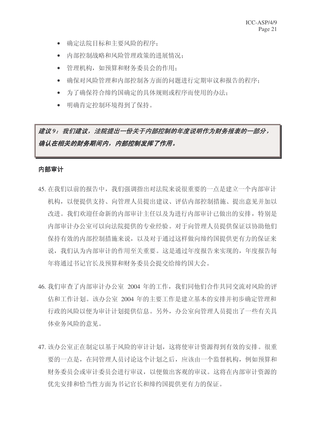- 确定法院目标和主要风险的程序;
- 内部控制战略和风险管理政策的讲展情况:
- 管理机构, 如预算和财务委员会的作用:
- 确保对风险管理和内部控制各方面的问题进行定期审议和报告的程序:
- 为了确保符合缔约国确定的具体规则或程序而使用的办法:
- 明确肯定控制环境得到了保持。

建议9*:我们建议,法院提出一份关于内部控制的年度说明作为财务报表的一部分,* 确认在相关的财务期间内,内部控制发挥了作用。

### 内部审计

- 45. 在我们以前的报告中, 我们强调指出对法院来说很重要的一点是建立一个内部审计 机构,以便提供支持、向管理人员提出建议、评估内部控制措施、提出意见并加以 改进。我们欢迎任命新的内部审计主任以及为进行内部审计已做出的安排,特别是 内部审计办公室可以向法院提供的专业经验。对于向管理人员提供保证以协助他们 保持有效的内部控制措施来说,以及对于通过这样做向缔约国提供更有力的保证来 说,我们认为内部审计的作用至关重要。这是通过年度报告来实现的,年度报告每 年将通过书记官长及预算和财务委员会提交给缔约国大会。
- 46. 我们审查了内部审计办公室 2004 年的工作, 我们同他们合作共同交流对风险的评 估和工作计划。该办公室 2004 年的主要工作是建立基本的安排并初步确定管理和 行政的风险以便为审计计划提供信息。另外, 办公室向管理人员提出了一些有关具 体业务风险的意见。
- 47. 该办公室正在制定以基于风险的审计计划, 这将使审计资源得到有效的安排。很重 要的一点是, 在同管理人员讨论这个计划之后, 应该由一个监督机构, 例如预算和 财务委员会或审计委员会进行审议,以便做出客观的审议。这将在内部审计资源的 优先安排和恰当性方面为书记官长和缔约国提供更有力的保证。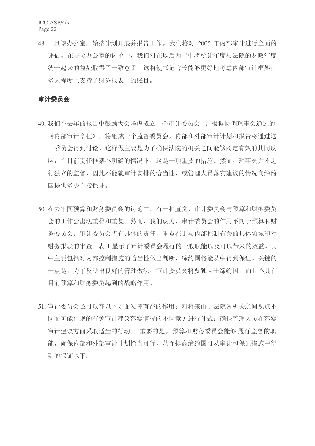48. 一旦该办公室开始按计划开展并报告工作, 我们将对 2005 年内部审计进行全面的 评估。在与该办公室的讨论中,我们对在以后两年中将统计年度与法院的财政年度 统一起来的益处取得了一致意见。这将使书记官长能够更好地考虑内部审计框架在 多大程度上支持了财务报表中的账目。

#### 审计委员会

- 49. 我们在夫年的报告中鼓励大会考虑成立一个审计委员会。 根据协调理事会通过的 《内部审计章程》, 将组成一个监督委员会, 内部和外部审计计划和报告将通过这 一委员会得到讨论。这样做主要是为了确保法院的机关之间能够商定有效的共同反 应, 在目前责任框架不明确的情况下, 这是一项重要的措施。然而, 理事会并不进 行独立的监督,因此不能就审计安排的恰当性,或管理人员落实建议的情况向缔约 国提供多少直接保证。
- 50. 在去年同预算和财务委员会的讨论中, 有一种直觉, 审计委员会与预算和财务委员 会的工作会出现重叠和重复。然而,我们认为,审计委员会的作用不同于预算和财 务委员会。审计委员会将有具体的责任, 重点在于与内部控制有关的具体领域和对 财务报表的审查。表 1 显示了审计委员会履行的一般职能以及可以带来的效益。其 中主要包括对内部控制措施的恰当性做出判断, 缔约国将能从中得到保证。关键的 一点是, 为了反映出良好的管理做法, 审计委员会将要独立于缔约国, 而且不具有 目前预算和财务委员起到的战略作用。
- 51. 审计委员会还可以在以下方面发挥有益的作用: 对将来由于法院各机关之间观点不 同而可能出现的有关审计建议落实情况的不同意见进行仲裁:确保管理人员在落实 审计建议方面采取适当的行动。重要的是, 预算和财务委员会能够履行监督的职 能,确保内部和外部审计计划恰当可行,从而提高缔约国可从审计和保证措施中得 到的保证水平。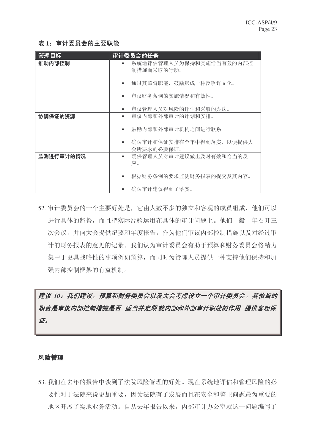### 表 1: 审计委员会的主要职能

| 管理目标      | 审计委员会的任务                                  |
|-----------|-------------------------------------------|
| 推动内部控制    | 系统地评估管理人员为保持和实施恰当有效的内部控<br>制措施而采取的行动。     |
|           | 通过其监督职能, 鼓励形成一种反欺诈文化。                     |
|           | 审议财务条例的实施情况和有效性。                          |
|           | 审议管理人员对风险的评估和采取的办法。                       |
| 协调保证的资源   | 审议内部和外部审计的计划和安排。<br>$\bullet$             |
|           | 鼓励内部和外部审计机构之间进行联系。<br>$\bullet$           |
|           | 确认审计和保证安排在全年中得到落实, 以便提供大<br>会所要求的必要保证。    |
| 监测进行审计的情况 | 确保管理人员对审计建议做出及时有效和恰当的反<br>$\bullet$<br>应。 |
|           | 根据财务条例的要求监测财务报表的提交及其内容。                   |
|           | 确认审计建议得到了落实。                              |

52. 审计委员会的一个主要好处是, 它由人数不多的独立和客观的成员组成, 他们可以 进行具体的监督,而且把实际经验运用在具体的审计问题上。他们一般一年召开三 次会议, 并向大会提供纪要和年度报告, 作为他们审议内部控制措施以及对经过审 计的财务报表的意见的记录。我们认为审计委员会有助于预算和财务委员会将精力 集中于更具战略性的事项例如预算,而同时为管理人员提供一种支持他们保持和加 强内部挖制框架的有益机制。

建议 10: 我们建议,预算和财务委员会以及大会考虑设立一个审计委员会,其恰当的 职责是审议内部控制措施是否 适当并定期 就内部和外部审计职能的作用 提供客观保 iE.

#### 风险管理

53. 我们在去年的报告中谈到了法院风险管理的好处。现在系统地评估和管理风险的必 要性对于法院来说更加重要, 因为法院有了发展而且在安全和警卫问题最为重要的 地区开展了实地业务活动。自从去年报告以来, 内部审计办公室就这一问题编写了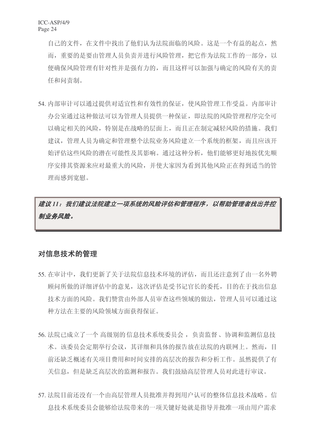自己的文件, 在文件中找出了他们认为法院面临的风险。这是一个有益的起点, 然 而, 重要的是要由管理人员负责并讲行风险管理, 把它作为法院工作的一部分, 以 便确保风险管理有针对性并是强有力的,而且这样可以加强与确定的风险有关的责 任和问责制。

54. 内部审计可以通过提供对适宜性和有效性的保证, 使风险管理工作受益。内部审计 办公室通讨这种做法可以为管理人员提供一种保证,即决院的风险管理程序完全可 以确定相关的风险,特别是在战略的层面上,而且正在制定减轻风险的措施。我们 建议, 管理人员为确定和管理整个法院业务风险建立一个系统的框架, 而且应该开 始评估这些风险的潜在可能性及其影响。通过这种分析,他们能够更好地按优先顺 序安排其资源来应对最重大的风险,并使大家因为看到其他风险正在得到适当的管 理而感到宽慰。

## 建议11:我们建议法院建立一项系统的风险评估和管理程序,以帮助管理者找出并控 制业务风险。

## 对信息技术的管理

- 55. 在审计中, 我们更新了关于法院信息技术环境的评估, 而且还注意到了由一名外聘 顾问所做的详细评估中的意见, 这次评估是受书记官长的委托, 目的在于找出信息 技术方面的风险。我们赞赏由外部人员审查这些领域的做法, 管理人员可以通过这 种方法在主要的风险领域方面获得保证。
- 56. 法院已成立了一个 高级别的信息技术系统委员会, 负责监督、协调和监测信息技 术。该委员会定期举行会议,其详细和具体的报告放在法院的内联网上。然而,目 前还缺乏概述有关项目费用和时间安排的高层次的报告和分析工作。虽然提供了有 关信息, 但是缺乏高层次的监测和报告。我们鼓励高层管理人员对此进行审议。
- 57. 法院目前还没有一个由高层管理人员批准并得到用户认可的整体信息技术战略。信 息技术系统委员会能够给法院带来的一项关键好处就是指导并批准一项由用户需求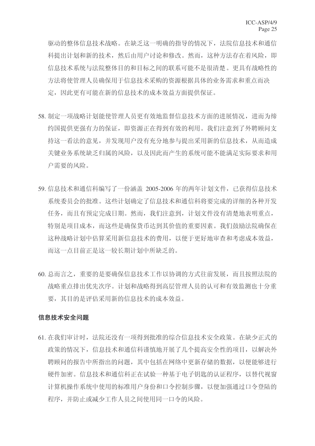驱动的整体信息技术战略。在缺乏这一明确的指导的情况下, 法院信息技术和通信 科提出计划和新的技术,然后由用户讨论和修改。然而,这种方法存在着风险,即 信息技术系统与法院整体目的和目标之间的联系可能不是很清楚。更具有战略性的 方法将使管理人员确保用于信息技术采购的资源根据具体的业务需求和重点而决 定, 因此更有可能在新的信息技术的成本效益方面提供保证。

- 58. 制定一项战略计划能使管理人员更有效地监督信息技术方面的进展情况, 讲而为缔 约国提供更强有力的保证,即资源正在得到有效的利用。我们注意到了外聘顾问支 持这一看法的意见,并发现用户没有充分地参与提出采用新的信息技术,从而造成 关键业务系统缺乏归属的风险,以及因此而产生的系统可能不能满足实际要求和用 户需要的风险。
- 59. 信息技术和通信科编写了一份涵盖 2005-2006 年的两年计划文件, 已获得信息技术 系统委员会的批准。这些计划确定了信息技术和通信科将要完成的详细的各种开发 任务,而且有预定完成日期。然而,我们注意到,计划文件没有清楚地表明重点, 特别是项目成本,而这些是确保货币达到其价值的重要因素。我们鼓励法院确保在 这种战略计划中估算采用新信息技术的费用,以便于更好地审查和考虑成本效益, 而这一点目前正是这一较长期计划中所缺乏的。
- 60. 总而言之, 重要的是要确保信息技术工作以协调的方式往前发展, 而且按照法院的 战略重点排出优先次序。计划和战略得到高层管理人员的认可和有效监测也十分重 要, 其目的是评估采用新的信息技术的成本效益。

## 信息技术安全问题

61. 在我们审计时, 法院还没有一项得到批准的综合信息技术安全政策。在缺少正式的 政策的情况下, 信息技术和通信科谨慎地开展了几个提高安全性的项目, 以解决外 聘顾问的报告中所指出的问题, 其中包括在网络中更新存储的数据, 以便能够讲行 硬件加密。信息技术和通信科正在试验一种基于电子钥匙的认证程序, 以替代视窗 计算机操作系统中使用的标准用户身份和口令控制步骤,以便伸掘通过口令登陆的 程序,并防止或减少工作人员之间使用同一口令的风险。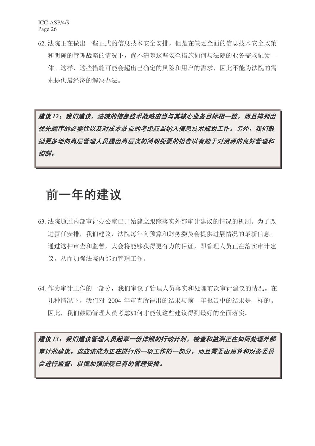62. 法院正在做出一些正式的信息技术安全安排, 但是在缺乏全面的信息技术安全政策 和明确的管理战略的情况下, 尚不清楚这些安全措施如何与法院的业务需求融为一 体。这样, 这些措施可能会超出已确定的风险和用户的需求, 因此不能为法院的需 求提供最经济的解决办法。

*建议 12:我们建议,法院的信息技术战略应当与其核心业务目标相一致,而且排列出* 优先顺序的必要性以及对成本效益的考虑应当纳入信息技术规划工作。另外,我们鼓 励更多地向高层管理人员提出高层次的简明扼要的报告以有助于对资源的良好管理和 控制。

## 前一年的建议

- 63. 法院通过内部审计办公室已开始建立跟踪落实外部审计建议的情况的机制。为了改 进责任安排, 我们建议, 法院每年向预算和财务委员会提供进展情况的最新信息。 通过这种审查和监督,大会将能够获得更有力的保证,即管理人员正在落实审计建 议, 从而加强法院内部的管理工作。
- 64. 作为审计工作的一部分, 我们审议了管理人员落实和处理前次审计建议的情况。在 几种情况下,我们对 2004 年审查所得出的结果与前一年报告中的结果是一样的。 因此, 我们鼓励管理人员考虑如何才能使这些建议得到最好的全面落实。

建议13: 我们建议管理人员起草一份详细的行动计划,检查和监测正在如何处理外部 审计的建议。这应该成为正在进行的一项工作的一部分,而且需要由预算和财务委员 会进行监督,以便加强法院已有的管理安排。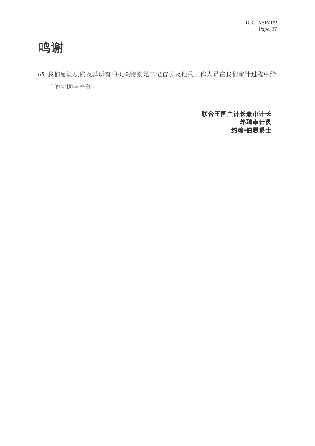## 鸣谢

65. 我们感谢法院及其所有的机关特别是书记官长及他的工作人员在我们审计过程中给 予的协助与合作。

> 联合王国主计长兼审计长 外聘审计员 约翰•伯恩爵士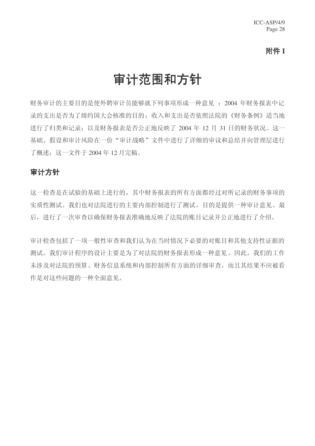## 附件 **I**

## 审计范围和方针

财务审计的主要目的是使外聘审计员能够就下列事项形成一种意见: 2004 年财务报表中记 录的支出是否为了缔约国大会核准的目的: 收入和支出是否依照法院的《财务条例》适当地 进行了归类和记录: 以及财务报表是否公正地反映了 2004 年 12 月 31 日的财务状况。这一 基础、假设和审计风险在一份"审计战略"文件中进行了详细的审议和总结并向管理层进行 了概述: 这一文件于 2004 年 12 月完稿。

## 审计方针

这一检查是在试验的基础上进行的, 其中财务报表的所有方面都经过对所记录的财务事项的 实质性测试。我们也对法院进行的主要内部控制进行了测试,目的是提供一种审计意见。最 后, 进行了一次审查以确保财务报表准确地反映了法院的账目记录并公正地进行了介绍。

审计检查包括了一项一般性审查和我们认为在当时情况下必要的对账目和其他支持性证据的 测试。我们审计程序的设计主要是为了对法院的财务报表形成一种意见。因此,我们的工作 未涉及对法院的预算、财务信息系统和内部控制所有方面的详细审查,而且其结果不应被看 作是对这些问题的一种全面意见。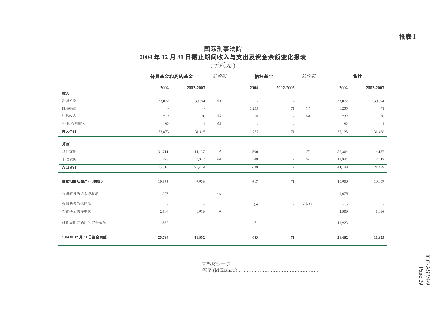## 国际刑事法院  $2004$  年 12 月 31 日截止期间收入与支出及资金余额变化报表

|                 |                          |                          | ( 千欧元) |        |                          |           |        |                          |
|-----------------|--------------------------|--------------------------|--------|--------|--------------------------|-----------|--------|--------------------------|
|                 | 普通基金和周转基金                |                          | 见说明    | 信托基金   |                          | 见说明       |        | 合计                       |
|                 | 2004                     | 2002-2003                |        | 2004   | 2002-2003                |           | 2004   | 2002-2003                |
| 收入              |                          |                          |        |        |                          |           |        |                          |
| 各国摊款            | 53,072                   | 30,894                   | 4.1    |        |                          |           | 53,072 | 30,894                   |
| 自愿捐助            | $\sim$                   | $\sim$                   |        | 1,235  | 71                       | 5.1       | 1,235  | 71                       |
| 利息收入            | 719                      | 520                      | 4.2    | 20     | $\sim$                   | 5.2       | 739    | 520                      |
| 其他/杂项收入         | 82                       | $\mathbf{1}$             | 4.3    | $\sim$ | $\overline{\phantom{a}}$ |           | 82     | 1                        |
| 收入合计            | 53,873                   | 31,415                   |        | 1,255  | 71                       |           | 55,128 | 31,486                   |
| 支出              |                          |                          |        |        |                          |           |        |                          |
| 已付支出            | 31,714                   | 14,137                   | 4.4    | 590    | $\sim$                   | <b>S7</b> | 32,304 | 14,137                   |
| 未偿债务            | 11,796                   | 7,342                    | 4.4    | 48     | $\sim$                   | S7        | 11,844 | 7,342                    |
| 支出合计            | 43,510                   | 21,479                   |        | 638    | $\bar{ }$                |           | 44,148 | 21,479                   |
| 收支相抵后盈余/(缺额)    | 10,363                   | 9,936                    |        | 617    | 71                       |           | 10,980 | 10,007                   |
| 前期债务的结余或取消      | 1,075                    | $\overline{\phantom{a}}$ | 4.5    | $\sim$ | $\sim$                   |           | 1,075  | $\sim$                   |
| 给捐助者的退还款        | $\overline{\phantom{a}}$ | $\overline{\phantom{a}}$ |        | (5)    | ÷.                       | 5.3, S6   | (5)    | $\overline{\phantom{a}}$ |
| 周转基金的净增额        | 2,509                    | 1,916                    | 4.6    | $\sim$ | ÷,                       |           | 2,509  | 1,916                    |
| 财政周期开始时的资金余额    | 11,852                   | $\sim$                   |        | 71     | $\overline{\phantom{a}}$ |           | 11,923 | $\sim$                   |
| 2004年12月31日资金余额 | 25,799                   | 11,852                   |        | 683    | 71                       |           | 26,482 | 11,923                   |

首席财务干事 签字 (M Kashou')……………………………………………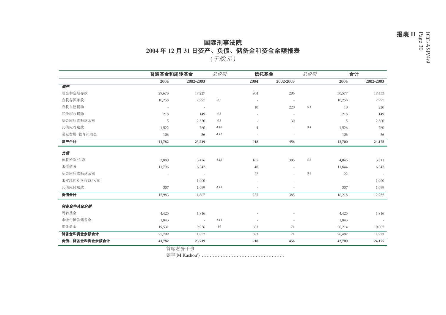## 国际刑事法院  $2004$  年 12 月 31 日资产、负债、储备金和资金余额报表

 $(\mathcal{F} \cancel{\mathbb{K}} \mathcal{\bar{H}})$ 

|               | 普通基金和周转基金                |                                                                    | 见说明  | 信托基金                     |                          | 见说明 | 合计                       |           |
|---------------|--------------------------|--------------------------------------------------------------------|------|--------------------------|--------------------------|-----|--------------------------|-----------|
|               | 2004                     | 2002-2003                                                          |      | 2004                     | 2002-2003                |     | 2004                     | 2002-2003 |
| 资产            |                          |                                                                    |      |                          |                          |     |                          |           |
| 现金和定期存款       | 29,673                   | 17,227                                                             |      | 904                      | 206                      |     | 30,577                   | 17,433    |
| 应收各国摊款        | 10,258                   | 2,997                                                              | 4.7  | $\sim$                   | $\overline{\phantom{a}}$ |     | 10,258                   | 2,997     |
| 应收自愿捐助        |                          | $\sim$                                                             |      | 10                       | 220                      | 5.1 | 10                       | 220       |
| 其他应收捐助        | 218                      | 149                                                                | 4.8  | $\sim$                   | $\overline{\phantom{a}}$ |     | 218                      | 149       |
| 基金间应收账款余额     | 5                        | 2,530                                                              | 4.9  | $\overline{\phantom{a}}$ | 30                       |     | 5                        | 2,560     |
| 其他应收账款        | 1,522                    | 760                                                                | 4.10 | $\overline{4}$           | ÷,                       | 5.4 | 1,526                    | 760       |
| 递延费用-教育补助金    | 106                      | 56                                                                 | 4.11 | $\sim$                   | $\overline{\phantom{a}}$ |     | 106                      | 56        |
| 资产合计          | 41,782                   | 23,719                                                             |      | 918                      | 456                      |     | 42,700                   | 24,175    |
| 负债            |                          |                                                                    |      |                          |                          |     |                          |           |
|               |                          |                                                                    | 4.12 |                          |                          |     |                          |           |
| 预收摊款/付款       | 3,880                    | 3,426                                                              |      | 165                      | 385                      | 5.5 | 4,045                    | 3,811     |
| 未偿债务          | 11,796                   | 6,342                                                              |      | 48                       | $\overline{\phantom{a}}$ |     | 11,844                   | 6,342     |
| 基金间应收账款余额     | $\overline{\phantom{a}}$ | $\sim$                                                             |      | 22                       |                          | 5.6 | 22                       | $\sim$    |
| 未实现的兑换收益/亏损   | $\overline{\phantom{a}}$ | 1,000                                                              |      | $\sim$                   | $\overline{\phantom{a}}$ |     | $\overline{\phantom{a}}$ | 1,000     |
| 其他应付账款        | 307                      | 1,099                                                              | 4.13 | $\sim$                   |                          |     | 307                      | 1,099     |
| 负债合计          | 15,983                   | 11,867                                                             |      | 235                      | 385                      |     | 16,218                   | 12,252    |
| 储备金和资金余额      |                          |                                                                    |      |                          |                          |     |                          |           |
| 周转基金          | 4,425                    | 1,916                                                              |      |                          |                          |     | 4,425                    | 1,916     |
| 未缴付摊款储备金      | 1,843                    | $\sim$                                                             | 4.14 |                          |                          |     | 1,843                    |           |
| 累计盈余          | 19,531                   | 9,936                                                              | S4   | 683                      | 71                       |     | 20,214                   | 10,007    |
|               |                          |                                                                    |      |                          |                          |     |                          |           |
| 储备金和资金余额合计    | 25,799                   | 11,852                                                             |      | 683                      | 71                       |     | 26,482                   | 11,923    |
| 负债、储备金和资金余额合计 | 41,782                   | 23,719<br>$\Delta L$ that $L$ $\leftrightarrow$ $\rightarrow$ that |      | 918                      | 456                      |     | 42,700                   | 24,175    |

首席财务干事

ㅒᄫ(M Kashou) …………………………………………….

报表 II Page 30<br>
Sang 2017<br>
Sang 2017<br>
Sang 2017 Page 30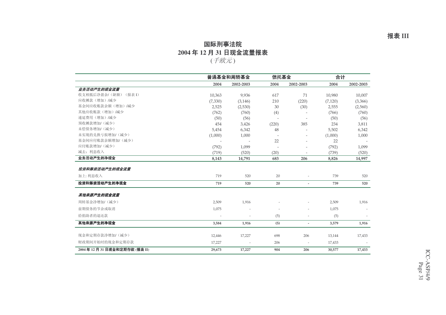## 国际刑事法院  $2004$  年 12 月 31 日现金流量报表 ( ヂ欧元 )

|                           |         | 普通基金和周转基金 | 信托基金  |                          | 合计       |                          |
|---------------------------|---------|-----------|-------|--------------------------|----------|--------------------------|
|                           | 2004    | 2002-2003 | 2004  | 2002-2003                | 2004     | 2002-2003                |
| 业务活动产生的现金流量               |         |           |       |                          |          |                          |
| 收支相抵后净盈余/(缺额) (报表 I)      | 10,363  | 9,936     | 617   | 71                       | 10,980   | 10,007                   |
| 应收摊款(增加)/减少               | (7,330) | (3, 146)  | 210   | (220)                    | (7, 120) | (3,366)                  |
| 基金间应收账款余额(增加)/减少          | 2,525   | (2,530)   | 30    | (30)                     | 2,555    | (2,560)                  |
| 其他应收账款(增加)/减少             | (762)   | (760)     | (4)   |                          | (766)    | (760)                    |
| 递延费用(增加)/减少               | (50)    | (56)      |       |                          | (50)     | (56)                     |
| 预收摊款增加/(减少)               | 454     | 3,426     | (220) | 385                      | 234      | 3,811                    |
| 未偿债务增加/(减少)               | 5,454   | 6,342     | 48    |                          | 5,502    | 6,342                    |
| 未实现的兑换亏损增加/(减少)           | (1,000) | 1,000     |       |                          | (1,000)  | 1,000                    |
| 基金间应付账款余额增加/(减少)          |         |           | 22    | $\overline{\phantom{a}}$ | 22       | $\overline{\phantom{a}}$ |
| 应付账款增加/(减少)               | (792)   | 1,099     |       |                          | (792)    | 1,099                    |
| 减去: 利息收入                  | (719)   | (520)     | (20)  |                          | (739)    | (520)                    |
| 业务活动产生的净现金                | 8,143   | 14,791    | 683   | 206                      | 8,826    | 14,997                   |
| 投资和筹资活动产生的现金流量            |         |           |       |                          |          |                          |
| 加上: 利息收入                  | 719     | 520       | 20    | ÷,                       | 739      | 520                      |
| 投资和筹资活动产生的净现金             | 719     | 520       | 20    | $\overline{\phantom{a}}$ | 739      | 520                      |
| 其他来源产生的现金流量               |         |           |       |                          |          |                          |
| 周转基金净增加/(减少)              | 2,509   | 1,916     |       |                          | 2,509    | 1,916                    |
| 前期债务的节余或取消                | 1,075   | $\sim$    |       | $\overline{\phantom{a}}$ | 1.075    |                          |
| 给捐助者的退还款                  | $\sim$  | ÷,        | (5)   | Ĭ.                       | (5)      |                          |
| 其他来源产生的净现金                | 3,584   | 1,916     | (5)   | $\overline{\phantom{0}}$ | 3,579    | 1,916                    |
| 现金和定期存款净增加/(减少)           | 12,446  | 17,227    | 698   | 206                      | 13,144   | 17,433                   |
| 财政期间开始时的现金和定期存款           | 17,227  | $\sim$    | 206   | $\sim$                   | 17,433   | $\sim$                   |
| 2004年12月31日现金和定期存款(报表 II) | 29,673  | 17,227    | 904   | 206                      | 30,577   | 17,433                   |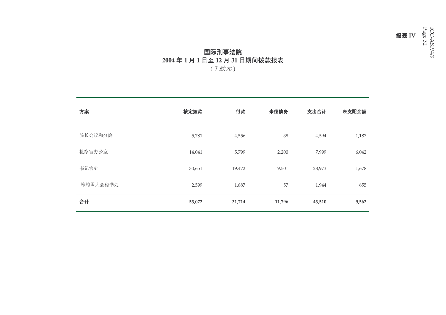## 国际刑事法院  $2004$  年 1 月 1 日至 12 月 31 日期间拨款报表 ( ヂ欧元 )

| 方案       | 核定拨款   | 付款     | 未偿债务   | 支出合计   | 未支配余额 |
|----------|--------|--------|--------|--------|-------|
| 院长会议和分庭  | 5,781  | 4,556  | 38     | 4,594  | 1,187 |
| 检察官办公室   | 14,041 | 5,799  | 2,200  | 7,999  | 6,042 |
| 书记官处     | 30,651 | 19,472 | 9,501  | 28,973 | 1,678 |
| 缔约国大会秘书处 | 2,599  | 1,887  | 57     | 1,944  | 655   |
| 合计       | 53,072 | 31,714 | 11,796 | 43,510 | 9,562 |

报表 IV ICC-ASP/4/9 Page 32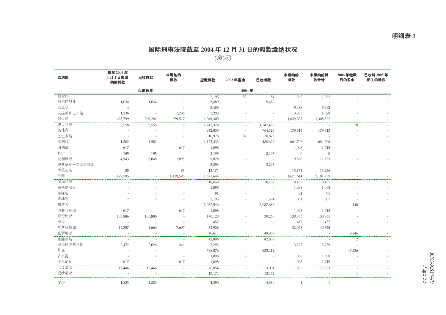## **国际刑事法院截至 2004年12月31日的摊款缴纳状况**

| 缔约国        | 截至 2004年<br>1月1日未缴<br>纳的摊款 | 已收摊款                     | 未缴纳的<br>摊款               | 应缴摊款      | 2003年盈余                  | 已收摊款                     | 未缴纳的<br>摊款     | 未缴纳的摊<br>款合计   | 2004年缴款<br>后的盈余 | 已收与 2005年<br>相关的摊款 |
|------------|----------------------------|--------------------------|--------------------------|-----------|--------------------------|--------------------------|----------------|----------------|-----------------|--------------------|
|            |                            | 以前各年                     |                          |           | 2004年                    |                          |                |                |                 |                    |
| 阿富汗        | $\sim$                     | $\sim$                   |                          | 2,195     | 152                      | 81                       | 1,962          | 1,962          |                 |                    |
| 阿尔巴尼亚      | 1,034                      | 1,034                    |                          | 5,489     |                          | 5,489                    |                |                |                 |                    |
| 安道尔        | $\overline{4}$             |                          | $\overline{4}$           | 5,488     |                          |                          | 5,488          | 5,492          |                 |                    |
| 安提瓜和巴布达    | 1,236                      | $\sim$                   | 1,236                    | 3,293     |                          |                          | 3,293          | 4,529          |                 |                    |
| 阿根廷        | 628,799                    | 369,282                  | 259,517                  | 1,049,305 |                          |                          | 1,049,305      | 1,308,822      | ÷               |                    |
| 澳大利亚       | 2,558                      | 2,558                    |                          | 1,747,378 | $\sim$                   | 1,747,456                |                |                | 78              |                    |
| 奥地利        |                            |                          | $\overline{a}$           | 942,838   | $\sim$                   | 764,325                  | 178,513        | 178,513        |                 |                    |
| 巴巴多斯       | $\sim$                     | $\sim$                   |                          | 10,976    | 102                      | 10,875                   |                |                | $\mathbf{1}$    |                    |
| 比利时        | 1,502                      | 1,502                    | $\sim$                   | 1,173,333 | ÷,                       | 488,627                  | 684,706        | 684,706        |                 |                    |
| 伯利兹        | 617                        | $\sim$                   | 617                      | 1,098     | $\overline{\phantom{a}}$ | $\sim$                   | 1,098          | 1,715          | $\sim$          |                    |
| 贝宁         | 195                        | 195                      | $\sim$                   | 2,195     | $\sim$                   | 2,195                    | $\overline{0}$ | $\overline{0}$ |                 |                    |
| 玻利维亚       | 4,943                      | 3,048                    | 1,895                    | 9,878     |                          | $\sim$                   | 9,878          | 11,773         |                 |                    |
| 波斯尼亚一黑塞哥维那 | $\sim$                     |                          | $\sim$                   | 3,293     | ÷,                       | 3,293                    | $\sim$         |                |                 |                    |
| 博茨瓦纳       | 85                         |                          | 85                       | 13,171    |                          | $\sim$                   | 13,171         | 13,256         |                 |                    |
| 巴西         | 1,429,595                  | $\overline{\phantom{a}}$ | 1,429,595                | 1,671,644 |                          | $\overline{\phantom{a}}$ | 1,671,644      | 3,101,239      |                 |                    |
| 保加利亚       |                            |                          |                          | 18,659    | $\sim$                   | 10,202                   | 8,457          | 8,457          |                 |                    |
| 布基纳法索      |                            |                          |                          | 1,098     |                          |                          | 1,098          | 1,098          |                 |                    |
| 布隆迪        |                            |                          |                          | 91        |                          |                          | 91             | 91             |                 |                    |
| 柬埔寨        | $\overline{2}$             | $\overline{2}$           |                          | 2,195     |                          | 1,594                    | 601            | 601            |                 |                    |
| 加拿大        |                            |                          |                          | 3,087,546 | $\sim$                   | 3,087,686                |                | $\sim$         | 140             |                    |
| 中非共和国      | 617                        | $\sim$                   | 617                      | 1,098     | ÷.                       |                          | 1,098          | 1,715          |                 |                    |
| 哥伦比亚       | 105,886                    | 105,886                  | $\overline{\phantom{a}}$ | 170,128   |                          | 39,263                   | 130,865        | 130,865        |                 |                    |
| 刚果         | $\sim$                     | $\sim$                   |                          | 457       |                          | $\sim$                   | 457            | 457            |                 |                    |
| 哥斯达黎加      | 12,357                     | 4,660                    | 7,697                    | 32,928    |                          | $\sim$                   | 32,928         | 40,625         |                 |                    |
| 克罗地亚       | $\sim$                     | $\sim$                   | $\sim$                   | 40,611    | $\overline{\phantom{a}}$ | 49,857                   |                | $\sim$         | 9,246           |                    |
| 塞浦路斯       | $\sim$                     | $\sim$                   | $\sim$                   | 42,806    | ÷,                       | 42,808                   |                |                | $\overline{2}$  |                    |
| 刚果民主共和国    | 2,472                      | 2,026                    | 446                      | 3,293     |                          | $\sim$                   | 3,293          | 3,739          | $\sim$          |                    |
| 丹麦         | $\sim$                     |                          | $\sim$                   | 788,076   | L,                       | 833,412                  |                | $\sim$         | 45,336          |                    |
| 吉布提        | ÷.                         |                          |                          | 1,098     |                          | $\sim$                   | 1,098          | 1,098          |                 |                    |
| 多米尼加       | 617                        | $\sim$                   | 617                      | 1,098     |                          | $\sim$                   | 1,098          | 1,715          | $\sim$          |                    |
| 厄瓜多尔       | 15,446                     | 15,446                   |                          | 20,854    | $\overline{a}$           | 9,031                    | 11,823         | 11,823         |                 |                    |
| 爱沙尼亚       | $\sim$                     | $\overline{a}$           | $\sim$                   | 13,171    | $\sim$                   | 13,172                   |                |                | $\mathbf{1}$    |                    |
| 斐济         | 1,823                      | 1,823                    |                          | 4,390     |                          | 4,389                    | $\mathbf{1}$   | $\mathbf{1}$   |                 |                    |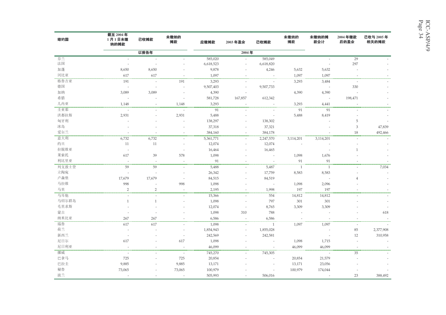| 缔约国   | 截至 2004年<br>1月1日未缴<br>纳的摊款 | 已收摊款                     | 未缴纳的<br>摊款               | 应缴摊款      | 2003年盈余                  | 已收摊款                     | 未缴纳的<br>摊款     | 未缴纳的摊<br>款合计   | 2004年缴款<br>后的盈余          | 已收与 2005年<br>相关的摊款 |
|-------|----------------------------|--------------------------|--------------------------|-----------|--------------------------|--------------------------|----------------|----------------|--------------------------|--------------------|
|       |                            | 以前各年                     |                          |           | 2004年                    |                          |                |                |                          |                    |
| 芬兰    | $\sim$                     | $\sim$                   |                          | 585,020   | $\sim$                   | 585,049                  |                | $\sim$         | 29                       |                    |
| 法国    | $\sim$                     | $\sim$                   | ÷,                       | 6,618,523 | $\sim$                   | 6,618,820                |                | $\sim$         | 297                      |                    |
| 加蓬    | 8,650                      | 8,650                    |                          | 9,878     |                          | 4,246                    | 5,632          | 5,632          |                          |                    |
| 冈比亚   | 617                        | 617                      | $\overline{a}$           | 1,097     |                          | $\sim$                   | 1,097          | 1,097          |                          |                    |
| 格鲁吉亚  | 191                        | $\sim$                   | 191                      | 3,293     | $\sim$                   | $\sim$                   | 3,293          | 3,484          | $\sim$                   |                    |
| 德国    | $\sim$                     | $\sim$                   |                          | 9,507,403 | $\sim$                   | 9,507,733                |                |                | 330                      |                    |
| 加纳    | 3,089                      | 3,089                    |                          | 4,390     |                          |                          | 4,390          | 4,390          | $\sim$                   |                    |
| 希腊    | $\sim$                     |                          | $\sim$                   | 581,728   | 167,857                  | 612,342                  |                | $\sim$         | 198,471                  |                    |
| 几内亚   | 1,148                      | $\sim$                   | 1,148                    | 3,293     | $\sim$                   | $\sim$                   | 3,293          | 4,441          | $\sim$                   |                    |
| 圭亚那   | $\sim$                     | $\overline{\phantom{a}}$ | $\overline{a}$           | 91        |                          | $\sim$                   | 91             | 91             |                          |                    |
| 洪都拉斯  | 2,931                      | $\sim$                   | 2,931                    | 5,488     |                          | $\sim$                   | 5,488          | 8,419          |                          |                    |
| 匈牙利   |                            |                          | $\overline{\phantom{a}}$ | 138,297   |                          | 138,302                  |                |                | 5                        |                    |
| 冰岛    | $\overline{\phantom{a}}$   |                          | $\sim$                   | 37,318    |                          | 37,321                   |                |                | 3                        | 47,839             |
| 爱尔兰   | $\sim$                     | ÷                        | $\overline{a}$           | 384,160   | $\sim$                   | 384,178                  |                |                | 18                       | 492,466            |
| 意大利   | 6,732                      | 6,732                    | $\sim$                   | 5,361,771 | $\sim$                   | 2,247,570                | 3,114,201      | 3,114,201      |                          |                    |
| 约旦    | 11                         | 11                       |                          | 12,074    |                          | 12,074                   | $\sim$         |                |                          |                    |
| 拉脱维亚  | $\sim$                     |                          |                          | 16,464    |                          | 16,465                   |                |                | $\mathbf{1}$             |                    |
| 莱索托   | 617                        | 39                       | 578                      | 1,098     |                          | $\overline{\phantom{a}}$ | 1,098          | 1,676          |                          |                    |
| 利比里亚  | $\sim$                     | $\sim$                   | $\overline{a}$           | 91        |                          | $\overline{\phantom{a}}$ | 91             | 91             |                          |                    |
| 列支敦士登 | 59                         | 59                       | $\sim$                   | 5,488     | $\overline{\phantom{a}}$ | 5,487                    | $\overline{1}$ | <sup>1</sup>   |                          | 7,034              |
| 立陶宛   | ÷,                         | $\sim$                   | $\overline{\phantom{a}}$ | 26,342    |                          | 17,759                   | 8,583          | 8,583          |                          |                    |
| 卢森堡   | 17,679                     | 17,679                   | $\sim$                   | 84,515    |                          | 84,519                   |                | $\sim$         | $\overline{4}$           |                    |
| 马拉维   | 998                        | $\sim$                   | 998                      | 1,098     |                          | $\sim$                   | 1,098          | 2,096          |                          |                    |
| 马里    | $\overline{2}$             | $\overline{2}$           |                          | 2,195     |                          | 1,998                    | 197            | 197            |                          |                    |
| 马耳他   | $\overline{a}$             | $\sim$                   | ÷.                       | 15,366    | $\sim$                   | 554                      | 14,812         | 14,812         |                          |                    |
| 马绍尔群岛 | 1                          | 1                        | ÷,                       | 1,098     |                          | 797                      | 301            | 301            |                          |                    |
| 毛里求斯  |                            |                          |                          | 12,074    | $\sim$                   | 8,765                    | 3,309          | 3,309          |                          | $\sim$             |
| 蒙古    |                            |                          |                          | 1,098     | 310                      | 788                      | $\sim$         |                |                          | 618                |
| 纳米比亚  | 267                        | 267                      |                          | 6,586     | $\sim$                   | 6,586                    | $\sim$         | $\sim$         |                          |                    |
| 瑙鲁    | 617                        | 617                      | $\overline{a}$           | 1,098     | $\sim$                   | $\mathbf{1}$             | 1,097          | 1,097          | $\sim$                   |                    |
| 荷兰    | ÷,                         |                          | ÷,                       | 1,854,943 | $\overline{\phantom{a}}$ | 1,855,028                |                | ÷,             | 85                       | 2,377,908          |
| 新西兰   | $\sim$                     |                          | $\sim$                   | 242,569   |                          | 242,581                  |                | $\overline{a}$ | 12                       | 310,958            |
| 尼日尔   | 617                        |                          | 617                      | 1,098     |                          | $\sim$                   | 1,098          | 1,715          |                          |                    |
| 尼日利亚  | $\sim$                     | $\sim$                   | $\sim$                   | 46,099    | $\sim$                   | $\sim$                   | 46,099         | 46,099         | $\overline{\phantom{a}}$ |                    |
| 挪威    | $\overline{\phantom{a}}$   |                          | $\overline{a}$           | 745,270   | $\sim$                   | 745,305                  |                |                | 35                       |                    |
| 巴拿马   | 725                        |                          | 725                      | 20,854    |                          | L.                       | 20,854         | 21,579         |                          |                    |
| 巴拉圭   | 9,885                      |                          | 9,885                    | 13,171    |                          | J.                       | 13,171         | 23,056         |                          |                    |
| 秘鲁    | 73,065                     |                          | 73,065                   | 100,979   |                          |                          | 100,979        | 174,044        |                          |                    |
| 波兰    |                            |                          |                          | 505,993   |                          |                          |                |                | 23                       | 388,492            |
|       |                            |                          |                          |           |                          | 506,016                  |                |                |                          |                    |

ICC-ASP/4/9 Page 34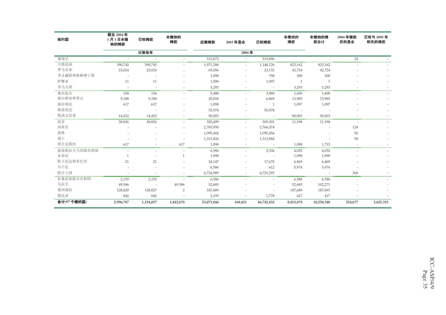| 缔约国         | 截至 2004年<br>1月1日未缴<br>纳的摊款 | 已收摊款      | 未缴纳的<br>摊款     | 应缴摊款       | 2003年盈余 | 已收摊款         | 未缴纳的<br>摊款     | 未缴纳的摊<br>款合计 | 2004年缴款<br>后的盈余 | 已收与 2005年<br>相关的摊款 |
|-------------|----------------------------|-----------|----------------|------------|---------|--------------|----------------|--------------|-----------------|--------------------|
|             |                            | 以前各年      |                |            | 2004年   |              |                |              |                 |                    |
| 葡萄牙<br>     |                            |           |                | 515.872    |         | 515.896      |                |              | 24              |                    |
| 大韩民国        | 390.745                    | 390,745   |                | 1,971,288  |         | 1,148,126    | 823,162        | 823,162      |                 |                    |
| 罗马尼亚        | 23,024                     | 23,024    |                | 65,856     |         | 23,132       | 42,724         | 42,724       |                 |                    |
| 圣文森特和格林纳丁斯  |                            |           |                | 1,098      |         | 798          | 300            | 300          |                 |                    |
| 萨摩亚         | 11                         | 11        |                | 1,098      |         | 1,097        | $\overline{1}$ |              |                 |                    |
| 圣马力诺        |                            |           |                | 3.293      |         |              | 3,293          | 3,293        |                 |                    |
| 寒内加尔        | 104                        | 104       |                | 5,488      |         | 3,888        | 1,600          | 1.600        |                 |                    |
| 塞尔维亚和黑山     | 9.188                      | 9,188     |                | 20,854     |         | 6,869        | 13,985         | 13,985       |                 |                    |
| 塞拉利昂        | 617                        | 617       |                | 1.098      |         | $\mathbf{1}$ | 1.097          | 1.097        |                 |                    |
| 斯洛伐克        |                            |           |                | 55,978     |         | 55,978       |                |              |                 |                    |
| 斯洛文尼亚       | 14.452                     | 14.452    |                | 90.003     |         |              | 90,003         | 90.003       |                 |                    |
| 南非          | 38,826                     | 38,826    |                | 320,499    |         | <br>309,301  | 11,198         | 11,198       |                 |                    |
| 西班牙         |                            |           |                | 2,765,950  |         | 2,766,074    |                |              | 124             |                    |
| 瑞典          |                            |           |                | 1,095,404  |         | 1,095,454    |                |              | 50              |                    |
| 瑞士          |                            |           |                | 1,313,826  |         | 1,313,884    |                |              | 58              |                    |
| 塔吉克斯坦       | 617                        |           | 617            | 1.098      |         |              | 1.098          | 1.715        |                 |                    |
| 前南斯拉夫马其顿共和国 |                            |           |                | 6,586      |         | 2,534        | 4,052          | 4,052        |                 |                    |
| 东帝汶         | $\mathbf{1}$               |           |                | 1,098      |         |              | 1,098          | 1,099        |                 |                    |
| 特立尼达和多巴哥    | 21                         | 21        |                | 24,147     |         | 17,678       | 6,469          | 6,469        |                 |                    |
| 乌干达         |                            |           |                | 6,586      |         | 612          | 5,974          | 5,974        |                 |                    |
| 联合王国        |                            |           |                | 6,724,989  |         | 6.725.293    |                |              | 304             |                    |
| 坦桑尼亚联合共和国   | 2,155                      | 2,155     |                | 6,586      |         |              | 6,586          | 6,586        |                 |                    |
| 乌拉圭         | 49,586                     | $\sim$    | 49,586         | 52,685     |         |              | 52,685         | 102,271      |                 |                    |
| 委内瑞拉        | 128,829                    | 128,827   | $\overline{2}$ | 187,689    |         |              | 187,689        | 187,691      |                 |                    |
| 赞比亚         | 842                        | 842       |                | 2,195      |         | 1,778        | 417            | 417          |                 |                    |
| 合计(97个缔约国)  | 2,996,707                  | 1,154,037 | 1,842,670      | 53,071,846 | 168,421 | 44,742,432   | 8,415,670      | 10,258,340   | 254,677         | 3,625,315          |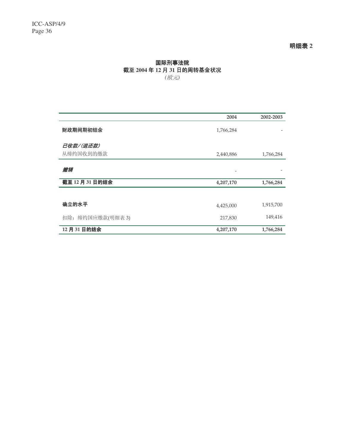## 国际刑事法院 截至 2004 年 12 月 31 日的周转基金状况

|                        | 2004      | 2002-2003 |
|------------------------|-----------|-----------|
| 财政期间期初结余               | 1,766,284 |           |
| 已收款/(退还款)<br>从缔约国收到的缴款 | 2,440,886 | 1,766,284 |
| 撤销                     |           |           |
| 截至 12 月 31 日的结余        | 4,207,170 | 1,766,284 |
|                        |           |           |
| 确立的水平                  | 4,425,000 | 1,915,700 |
| 扣除: 缔约国应缴款(明细表 3)      | 217,830   | 149,416   |
| 12月31日的结余              | 4,207,170 | 1,766,284 |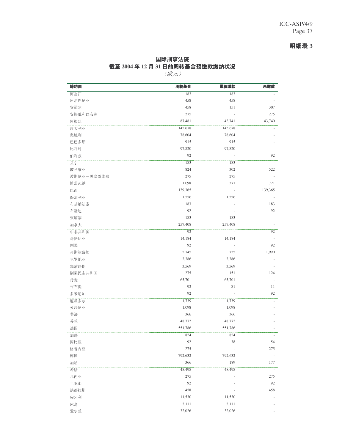## 明细表 3

## 国际刑事法院 截至 2004 年 12 月 31 日的周转基金预缴款缴纳状况

| 缔约国        | 周转基金    | 累积缴款    | 未缴款     |
|------------|---------|---------|---------|
| 阿富汗        | 183     | 183     |         |
| 阿尔巴尼亚      | 458     | 458     |         |
| 安道尔        | 458     | 151     | 307     |
| 安提瓜和巴布达    | 275     |         | 275     |
| 阿根廷        | 87,481  | 43,741  | 43,740  |
| 澳大利亚       | 145,678 | 145,678 |         |
| 奥地利        | 78,604  | 78,604  |         |
| 巴巴多斯       | 915     | 915     |         |
| 比利时        | 97,820  | 97,820  |         |
| 伯利兹        | 92      |         | 92      |
| 贝宁         | 183     | 183     |         |
| 玻利维亚       | 824     | 302     | 522     |
| 波斯尼亚一黑塞哥维那 | 275     | 275     |         |
| 博茨瓦纳       | 1,098   | 377     | 721     |
| 巴西         | 139,365 |         | 139,365 |
| 保加利亚       | 1,556   | 1,556   |         |
| 布基纳法索      | 183     |         | 183     |
| 布隆迪        | 92      |         | 92      |
| 柬埔寨        | 183     | 183     |         |
| 加拿大        | 257,408 | 257,408 |         |
| 中非共和国      | 92      |         | 92      |
| 哥伦比亚       | 14,184  | 14,184  |         |
| 刚果         | 92      |         | 92      |
| 哥斯达黎加      | 2,745   | 755     | 1,990   |
| 克罗地亚       | 3,386   | 3,386   |         |
| 塞浦路斯       | 3,569   | 3,569   |         |
| 刚果民主共和国    | 275     | 151     | 124     |
| 丹麦         | 65,701  | 65,701  |         |
| 吉布提        | 92      | 81      | 11      |
| 多米尼加       | 92      |         | 92      |
| 厄瓜多尔       | 1,739   | 1,739   |         |
| 爱沙尼亚       | 1,098   | 1,098   |         |
| 斐济         | 366     | 366     |         |
| 芬兰         | 48,772  | 48,772  |         |
| 法国         | 551,786 | 551,786 |         |
| 加蓬         | 824     | 824     |         |
| 冈比亚        | 92      | 38      | 54      |
| 格鲁吉亚       | 275     |         | 275     |
| 德国         | 792,632 | 792,632 |         |
| 加纳         | 366     | 189     | 177     |
| 希腊         | 48,498  | 48,498  |         |
| 几内亚        | 275     |         | 275     |
| 圭亚那        | 92      |         | 92      |
| 洪都拉斯       | 458     |         | 458     |
| 匈牙利        | 11,530  | 11,530  |         |
| 冰岛         | 3,111   | 3,111   |         |
| 爱尔兰        | 32,026  | 32,026  |         |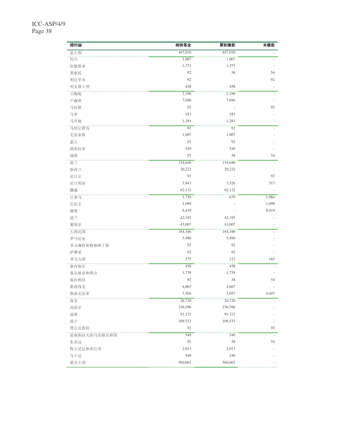| 缔约国          | 周转基金    | 累积缴款    | 未缴款   |
|--------------|---------|---------|-------|
| 意大利          | 447,010 | 447,010 |       |
| 约旦           | 1,007   | 1,007   |       |
| 拉脱维亚         | 1,373   | 1,373   |       |
| 莱索托          | 92      | 38      | 54    |
| 利比里亚         | 92      |         | 92    |
| 列支敦士登        | 458     | 458     |       |
| 立陶宛          | 2,196   | 2,196   |       |
| 卢森堡          | 7,046   | 7,046   |       |
| 马拉维          | 92      |         | 92    |
| 马里           | 183     | 183     |       |
| 马耳他          | 1,281   | 1,281   |       |
| 马绍尔群岛        | 92      | 92      |       |
| 毛里求斯         | 1,007   | 1,007   |       |
| 蒙古           | 92      | 92      |       |
| 纳米比亚         | 549     | 549     |       |
| 瑙鲁           | 92      | 38      | 54    |
| 荷兰           | 154,646 | 154,646 |       |
| 新西兰          | 20,222  | 20,222  |       |
| 尼日尔          | 92      |         | 92    |
| 尼日利亚         | 3,843   | 3,326   | 517   |
| 挪威           | 62,132  | 62,132  |       |
| 巴拿马          | 1,739   | 679     | 1,060 |
| 巴拉圭          | 1,098   |         | 1,098 |
| 秘鲁           | 8,419   |         | 8,419 |
| 波兰           | 42,185  | 42,185  |       |
| 葡萄牙          | 43,007  | 43,007  |       |
| 大韩民国         | 164,346 | 164,346 |       |
| 罗马尼亚         | 5,490   | 5,490   |       |
| 圣文森特和格林纳丁斯   | 92      | 92      |       |
| 萨摩亚          | 92      | 92      |       |
| 圣马力诺         | 275     | 112     | 163   |
| 塞内加尔         | 458     | 458     |       |
| 塞尔维亚和黑山      | 1,739   | 1,739   |       |
| 塞拉利昂         | 92      | 38      | 54    |
| 斯洛伐克         | 4,667   | 4,667   |       |
| 斯洛文尼亚        | 7,504   | 3,057   | 4.447 |
|              | 26,720  | 26,720  |       |
| 南非<br>西班牙    | 230,596 | 230,596 |       |
|              | 91,323  | 91,323  |       |
| 瑞典           |         |         |       |
| 瑞士           | 109,533 | 109,533 |       |
| 塔吉克斯坦        | 92      |         | 92    |
| 前南斯拉夫的马其顿共和国 | 549     | 549     |       |
| 东帝汶          | 92      | 38      | 54    |
| 特立尼达和多巴哥     | 2,013   | 2,013   |       |
| 乌干达          | 549     | 549     |       |
| 联合王国         | 560,662 | 560,662 |       |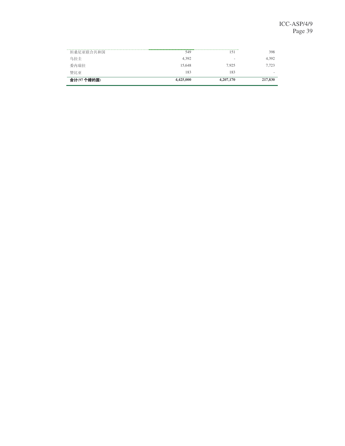| <br>坦桑尼亚联合共和国 | 549       | 151       | 398     |
|---------------|-----------|-----------|---------|
| 乌拉圭           | 4.392     | ۰         | 4.392   |
| 委内瑞拉          | 15.648    | 7.925     | 7.723   |
| 赞比亚           | 183       | 183       | ۰       |
| 合计(97个缔约国)    | 4,425,000 | 4,207,170 | 217,830 |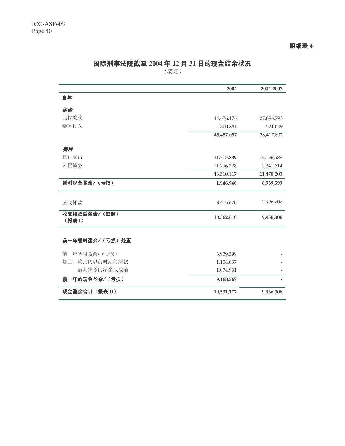|                        | 2004       | 2002-2003  |
|------------------------|------------|------------|
| 当年                     |            |            |
| 盈余                     |            |            |
| 已收摊款                   | 44,656,176 | 27,896,793 |
| 杂项收入                   | 800,881    | 521,009    |
|                        | 45,457,057 | 28,417,802 |
| 费用                     |            |            |
| 已付支出                   | 31,713,889 | 14,136,589 |
| 未偿债务                   | 11,796,228 | 7,341,614  |
|                        | 43,510,117 | 21,478,203 |
| 暂时现金盈余/(亏损)            | 1,946,940  | 6,939,599  |
| 应收摊款                   | 8,415,670  | 2,996,707  |
| 收支相抵后盈余/(缺额)<br>(报表 I) | 10,362,610 | 9,936,306  |
| 前一年暂时盈余/(亏损)处置         |            |            |
| 前一年暂时盈余/(亏损)           | 6,939,599  |            |
| 加上: 收到的以前时期的摊款         | 1,154,037  |            |
| 前期债务的结余或取消             | 1,074,931  |            |
| 前一年的现金盈余/(亏损)          | 9,168,567  |            |
| 现金盈余合计(报表II)           | 19,531,177 | 9,936,306  |

## **国际刑事法院截至 2004年 12 月 31 日的现金结余状况**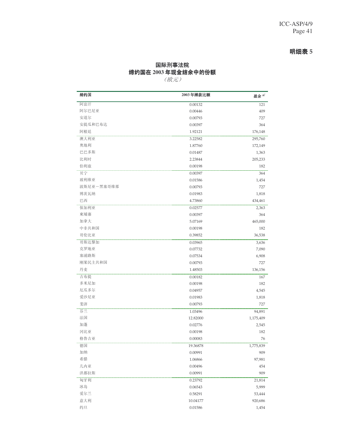## 明细表 5

## 国际刑事法院 缔约国在 2003 年现金结余中的份额

| 阿富汗<br>0.00132<br>121<br>阿尔巴尼亚<br>0.00446<br>409<br>安道尔<br>0.00793<br>727<br>安提瓜和巴布达<br>0.00397<br>364<br>阿根廷<br>1.92121<br>176,148<br>澳大利亚<br>3.22582<br>295,760<br>奥地利<br>1.87760<br>172,149<br>巴巴多斯<br>0.01487<br>1,363<br>比利时<br>2.23844<br>205,233<br>伯利兹<br>0.00198<br>182<br>贝宁<br>0.00397<br>364<br>玻利维亚<br>1,454<br>0.01586<br>波斯尼亚一黑塞哥维那<br>0.00793<br>727<br>博茨瓦纳<br>0.01983<br>1,818<br>巴西<br>4.73860<br>434,461<br>保加利亚<br>2,363<br>0.02577<br>柬埔寨<br>0.00397<br>364<br>加拿大<br>5.07169<br>465,000<br>中非共和国<br>0.00198<br>182<br>哥伦比亚<br>0.39852<br>36,538<br>哥斯达黎加<br>0.03965<br>3,636<br>克罗地亚<br>0.07732<br>7,090<br>塞浦路斯<br>0.07534<br>6,908<br>刚果民主共和国<br>0.00793<br>727<br>丹麦<br>136,156<br>1.48503<br>吉布提<br>0.00182<br>167<br>多米尼加<br>0.00198<br>182<br>厄瓜多尔<br>0.04957<br>4,545<br>爱沙尼亚<br>0.01983<br>1,818<br>斐济<br>0.00793<br>727<br>芬兰<br>1.03496<br>94,891<br>法国<br>12.82000<br>1,175,409<br>加蓬<br>0.02776<br>2,545<br>冈比亚<br>0.00198<br>182<br>格鲁吉亚<br>0.00083<br>76<br>德国<br>19.36878<br>1,775,839<br>加纳<br>0.00991<br>909<br>希腊<br>1.06866<br>97,981<br>几内亚<br>0.00496<br>454<br>洪都拉斯<br>0.00991<br>909<br>匈牙利<br>21,814<br>0.23792<br>冰岛<br>5,999<br>0.06543<br>爱尔兰<br>0.58291<br>53,444<br>意大利<br>10.04177<br>920,686<br>约旦<br>1,454<br>0.01586 | 缔约国 | 2003年摊款比额 | 盈余 $a/$ |
|------------------------------------------------------------------------------------------------------------------------------------------------------------------------------------------------------------------------------------------------------------------------------------------------------------------------------------------------------------------------------------------------------------------------------------------------------------------------------------------------------------------------------------------------------------------------------------------------------------------------------------------------------------------------------------------------------------------------------------------------------------------------------------------------------------------------------------------------------------------------------------------------------------------------------------------------------------------------------------------------------------------------------------------------------------------------------------------------------------------------------------------------------------------------------------------------------------------------------------------------------------------------------|-----|-----------|---------|
|                                                                                                                                                                                                                                                                                                                                                                                                                                                                                                                                                                                                                                                                                                                                                                                                                                                                                                                                                                                                                                                                                                                                                                                                                                                                              |     |           |         |
|                                                                                                                                                                                                                                                                                                                                                                                                                                                                                                                                                                                                                                                                                                                                                                                                                                                                                                                                                                                                                                                                                                                                                                                                                                                                              |     |           |         |
|                                                                                                                                                                                                                                                                                                                                                                                                                                                                                                                                                                                                                                                                                                                                                                                                                                                                                                                                                                                                                                                                                                                                                                                                                                                                              |     |           |         |
|                                                                                                                                                                                                                                                                                                                                                                                                                                                                                                                                                                                                                                                                                                                                                                                                                                                                                                                                                                                                                                                                                                                                                                                                                                                                              |     |           |         |
|                                                                                                                                                                                                                                                                                                                                                                                                                                                                                                                                                                                                                                                                                                                                                                                                                                                                                                                                                                                                                                                                                                                                                                                                                                                                              |     |           |         |
|                                                                                                                                                                                                                                                                                                                                                                                                                                                                                                                                                                                                                                                                                                                                                                                                                                                                                                                                                                                                                                                                                                                                                                                                                                                                              |     |           |         |
|                                                                                                                                                                                                                                                                                                                                                                                                                                                                                                                                                                                                                                                                                                                                                                                                                                                                                                                                                                                                                                                                                                                                                                                                                                                                              |     |           |         |
|                                                                                                                                                                                                                                                                                                                                                                                                                                                                                                                                                                                                                                                                                                                                                                                                                                                                                                                                                                                                                                                                                                                                                                                                                                                                              |     |           |         |
|                                                                                                                                                                                                                                                                                                                                                                                                                                                                                                                                                                                                                                                                                                                                                                                                                                                                                                                                                                                                                                                                                                                                                                                                                                                                              |     |           |         |
|                                                                                                                                                                                                                                                                                                                                                                                                                                                                                                                                                                                                                                                                                                                                                                                                                                                                                                                                                                                                                                                                                                                                                                                                                                                                              |     |           |         |
|                                                                                                                                                                                                                                                                                                                                                                                                                                                                                                                                                                                                                                                                                                                                                                                                                                                                                                                                                                                                                                                                                                                                                                                                                                                                              |     |           |         |
|                                                                                                                                                                                                                                                                                                                                                                                                                                                                                                                                                                                                                                                                                                                                                                                                                                                                                                                                                                                                                                                                                                                                                                                                                                                                              |     |           |         |
|                                                                                                                                                                                                                                                                                                                                                                                                                                                                                                                                                                                                                                                                                                                                                                                                                                                                                                                                                                                                                                                                                                                                                                                                                                                                              |     |           |         |
|                                                                                                                                                                                                                                                                                                                                                                                                                                                                                                                                                                                                                                                                                                                                                                                                                                                                                                                                                                                                                                                                                                                                                                                                                                                                              |     |           |         |
|                                                                                                                                                                                                                                                                                                                                                                                                                                                                                                                                                                                                                                                                                                                                                                                                                                                                                                                                                                                                                                                                                                                                                                                                                                                                              |     |           |         |
|                                                                                                                                                                                                                                                                                                                                                                                                                                                                                                                                                                                                                                                                                                                                                                                                                                                                                                                                                                                                                                                                                                                                                                                                                                                                              |     |           |         |
|                                                                                                                                                                                                                                                                                                                                                                                                                                                                                                                                                                                                                                                                                                                                                                                                                                                                                                                                                                                                                                                                                                                                                                                                                                                                              |     |           |         |
|                                                                                                                                                                                                                                                                                                                                                                                                                                                                                                                                                                                                                                                                                                                                                                                                                                                                                                                                                                                                                                                                                                                                                                                                                                                                              |     |           |         |
|                                                                                                                                                                                                                                                                                                                                                                                                                                                                                                                                                                                                                                                                                                                                                                                                                                                                                                                                                                                                                                                                                                                                                                                                                                                                              |     |           |         |
|                                                                                                                                                                                                                                                                                                                                                                                                                                                                                                                                                                                                                                                                                                                                                                                                                                                                                                                                                                                                                                                                                                                                                                                                                                                                              |     |           |         |
|                                                                                                                                                                                                                                                                                                                                                                                                                                                                                                                                                                                                                                                                                                                                                                                                                                                                                                                                                                                                                                                                                                                                                                                                                                                                              |     |           |         |
|                                                                                                                                                                                                                                                                                                                                                                                                                                                                                                                                                                                                                                                                                                                                                                                                                                                                                                                                                                                                                                                                                                                                                                                                                                                                              |     |           |         |
|                                                                                                                                                                                                                                                                                                                                                                                                                                                                                                                                                                                                                                                                                                                                                                                                                                                                                                                                                                                                                                                                                                                                                                                                                                                                              |     |           |         |
|                                                                                                                                                                                                                                                                                                                                                                                                                                                                                                                                                                                                                                                                                                                                                                                                                                                                                                                                                                                                                                                                                                                                                                                                                                                                              |     |           |         |
|                                                                                                                                                                                                                                                                                                                                                                                                                                                                                                                                                                                                                                                                                                                                                                                                                                                                                                                                                                                                                                                                                                                                                                                                                                                                              |     |           |         |
|                                                                                                                                                                                                                                                                                                                                                                                                                                                                                                                                                                                                                                                                                                                                                                                                                                                                                                                                                                                                                                                                                                                                                                                                                                                                              |     |           |         |
|                                                                                                                                                                                                                                                                                                                                                                                                                                                                                                                                                                                                                                                                                                                                                                                                                                                                                                                                                                                                                                                                                                                                                                                                                                                                              |     |           |         |
|                                                                                                                                                                                                                                                                                                                                                                                                                                                                                                                                                                                                                                                                                                                                                                                                                                                                                                                                                                                                                                                                                                                                                                                                                                                                              |     |           |         |
|                                                                                                                                                                                                                                                                                                                                                                                                                                                                                                                                                                                                                                                                                                                                                                                                                                                                                                                                                                                                                                                                                                                                                                                                                                                                              |     |           |         |
|                                                                                                                                                                                                                                                                                                                                                                                                                                                                                                                                                                                                                                                                                                                                                                                                                                                                                                                                                                                                                                                                                                                                                                                                                                                                              |     |           |         |
|                                                                                                                                                                                                                                                                                                                                                                                                                                                                                                                                                                                                                                                                                                                                                                                                                                                                                                                                                                                                                                                                                                                                                                                                                                                                              |     |           |         |
|                                                                                                                                                                                                                                                                                                                                                                                                                                                                                                                                                                                                                                                                                                                                                                                                                                                                                                                                                                                                                                                                                                                                                                                                                                                                              |     |           |         |
|                                                                                                                                                                                                                                                                                                                                                                                                                                                                                                                                                                                                                                                                                                                                                                                                                                                                                                                                                                                                                                                                                                                                                                                                                                                                              |     |           |         |
|                                                                                                                                                                                                                                                                                                                                                                                                                                                                                                                                                                                                                                                                                                                                                                                                                                                                                                                                                                                                                                                                                                                                                                                                                                                                              |     |           |         |
|                                                                                                                                                                                                                                                                                                                                                                                                                                                                                                                                                                                                                                                                                                                                                                                                                                                                                                                                                                                                                                                                                                                                                                                                                                                                              |     |           |         |
|                                                                                                                                                                                                                                                                                                                                                                                                                                                                                                                                                                                                                                                                                                                                                                                                                                                                                                                                                                                                                                                                                                                                                                                                                                                                              |     |           |         |
|                                                                                                                                                                                                                                                                                                                                                                                                                                                                                                                                                                                                                                                                                                                                                                                                                                                                                                                                                                                                                                                                                                                                                                                                                                                                              |     |           |         |
|                                                                                                                                                                                                                                                                                                                                                                                                                                                                                                                                                                                                                                                                                                                                                                                                                                                                                                                                                                                                                                                                                                                                                                                                                                                                              |     |           |         |
|                                                                                                                                                                                                                                                                                                                                                                                                                                                                                                                                                                                                                                                                                                                                                                                                                                                                                                                                                                                                                                                                                                                                                                                                                                                                              |     |           |         |
|                                                                                                                                                                                                                                                                                                                                                                                                                                                                                                                                                                                                                                                                                                                                                                                                                                                                                                                                                                                                                                                                                                                                                                                                                                                                              |     |           |         |
|                                                                                                                                                                                                                                                                                                                                                                                                                                                                                                                                                                                                                                                                                                                                                                                                                                                                                                                                                                                                                                                                                                                                                                                                                                                                              |     |           |         |
|                                                                                                                                                                                                                                                                                                                                                                                                                                                                                                                                                                                                                                                                                                                                                                                                                                                                                                                                                                                                                                                                                                                                                                                                                                                                              |     |           |         |
|                                                                                                                                                                                                                                                                                                                                                                                                                                                                                                                                                                                                                                                                                                                                                                                                                                                                                                                                                                                                                                                                                                                                                                                                                                                                              |     |           |         |
|                                                                                                                                                                                                                                                                                                                                                                                                                                                                                                                                                                                                                                                                                                                                                                                                                                                                                                                                                                                                                                                                                                                                                                                                                                                                              |     |           |         |
|                                                                                                                                                                                                                                                                                                                                                                                                                                                                                                                                                                                                                                                                                                                                                                                                                                                                                                                                                                                                                                                                                                                                                                                                                                                                              |     |           |         |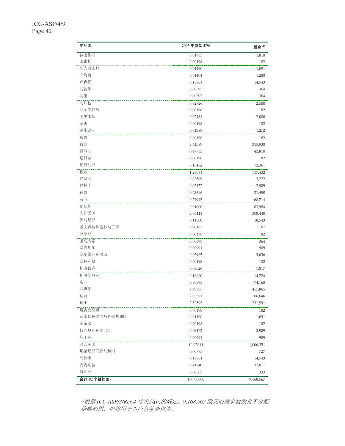| 缔约国          | 2003 年摊款比额 | 盈余 $a/$   |
|--------------|------------|-----------|
| 拉脱维亚         | 0.01983    | 1,818     |
| 莱索托          | 0.00198    | 182       |
| 列支敦士登        | 0.01190    | 1,091     |
| 立陶宛          | 0.01404    | 1,288     |
| 卢森堡          | 0.15861    | 14,543    |
| 马拉维          | 0.00397    | 364       |
| 马里           | 0.00397    | 364       |
| 马耳他          | 0.02726    | 2,500     |
| 马绍尔群岛        | 0.00198    | 182       |
| 毛里求斯         | 0.02181    | 2,000     |
| 蒙古           | 0.00198    | 182       |
| 纳米比亚         | 0.01388    | 1,272     |
| 瑙鲁           | 0.00198    | 182       |
| 荷兰           | 3.44589    | 315,938   |
| 新西兰          | 0.47783    | 43,810    |
| 尼日尔          | 0.00198    | 182       |
| 尼日利亚         | 0.13482    | 12,361    |
| 挪威           | 1.28081    | 117,432   |
| 巴拿马          | 0.03569    | 3,272     |
| 巴拉圭          | 0.03172    | 2,909     |
| 秘鲁           | 0.23396    | 21,450    |
| 波兰           | 0.74945    | 68,714    |
| 葡萄牙          | 0.91600    | 83,984    |
| 大韩民国         | 3.36411    | 308,440   |
| 罗马尼亚         | 0.11500    | 10,543    |
| 圣文森特和格林纳丁斯   | 0.00182    | 167       |
| 萨摩亚          | 0.00198    | 182       |
| 圣马力诺         | 0.00397    | 364       |
| 塞内加尔         | 0.00991    | 909       |
| 塞尔维亚和黑山      | 0.03965    | 3,636     |
| 塞拉利昂         | 0.00198    | 182       |
| 斯洛伐克         | 0.08526    | 7,817     |
| 斯洛文尼亚        | 0.16060    | 14,724    |
| 南非           | 0.80893    | 74,168    |
| 西班牙          | 4.99387    | 457,865   |
| 瑞典           | 2.03571    | 186,646   |
| 瑞士           | 2.52593    | 231,591   |
| 塔吉克斯坦        | 0.00198    | 182       |
| 前南斯拉夫的马其顿共和国 | 0.01190    | 1,091     |
| 东帝汶          | 0.00198    | 182       |
| 特立尼达和多巴哥     | 0.03172    | 2,909     |
| 乌干达          | 0.00991    | 909       |
| 联合王国         | 10.97611   | 1,006,351 |
| 坦桑尼亚联合共和国    | 0.00793    | 727       |
| 乌拉圭          | 0.15861    | 14,543    |
| 委内瑞拉         | 0.41240    | 37,811    |
| 赞比亚          | 0.00363    | 333       |
| 合计(92个缔约国)   | 100.00000  | 9,168,567 |

al 根据ICC-ASP/3/Res.4 号决议(b)的规定, 9,168,567 欧元的盈余数额将不分配 给缔约国,但将用于为应急基金供资。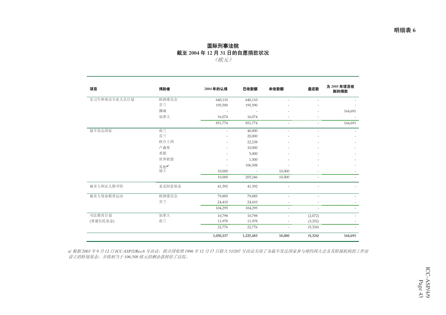#### 国际刑事法院 截至 2004年12月31日的自愿捐款状况 (欧元)

| 项目           | 捐助者    | 2004年的认捐  | 已收款额                     | 未收款额                     | 退还款                      | 为 2005年项目收<br>到的捐款 |
|--------------|--------|-----------|--------------------------|--------------------------|--------------------------|--------------------|
| 实习生和来访专业人员计划 | 欧洲委员会  | 640,110   | 640,110                  | ÷.                       | $\overline{\phantom{a}}$ |                    |
|              | 芬兰     | 195,590   | 195,590                  |                          |                          |                    |
|              | 挪威     | $\sim$    | $\overline{\phantom{a}}$ |                          |                          | 164,691            |
|              | 加拿大    | 16,074    | 16,074                   |                          | $\overline{\phantom{a}}$ |                    |
|              |        | 851,774   | 851,774                  | $\overline{\phantom{m}}$ | $\overline{\phantom{a}}$ | 164,691            |
| 最不发达国家       | 荷兰     | ٠         | 40,000                   | ٠                        | ٠                        |                    |
|              | 芬兰     |           | 20,000                   |                          |                          |                    |
|              | 联合王国   |           | 22,238                   |                          |                          |                    |
|              | 卢森堡    |           | 10,000                   |                          |                          |                    |
|              | 希腊     |           | 5,000                    |                          |                          |                    |
|              | 世界联盟   |           | 1,500                    |                          |                          |                    |
|              | 其他a/   |           | 106,508                  |                          |                          |                    |
|              | 瑞士     | 10,000    | $\overline{\phantom{a}}$ | 10,000                   |                          |                    |
|              |        | 10,000    | 205,246                  | 10,000                   |                          |                    |
| 被害人和证人图书馆    | 麦克阿瑟基金 | 41,392    | 41,392                   |                          |                          |                    |
| 被害人使命教育运动    | 欧洲委员会  | 79,885    | 79,885                   | ÷,                       | $\overline{\phantom{a}}$ |                    |
|              | 芬兰     | 24,410    | 24,410                   |                          |                          |                    |
|              |        | 104,295   | 104,295                  | ٠                        |                          |                    |
| 司法教育计划       | 加拿大    | 10,798    | 10,798                   |                          | (2,072)                  |                    |
| (普通信托基金)     | 荷兰     | 11,978    | 11,978                   |                          | (3,252)                  |                    |
|              |        | 22,776    | 22,776                   |                          | (5,324)                  |                    |
|              |        | 1,030,237 | 1,225,483                | 10,000                   | (5,324)                  | 164,691            |

a| 根据2003 年9 月 12 日 ICC-ASP/2/Res.6 号决议,联合国依照 1996 年 12 月 17 日联大 51/207 号决议关闭了为最不发达国家参与缔约国大会及其附属机构的工作而 设立的特别基金,并将相当于106,508 欧元的剩余款转给了法院。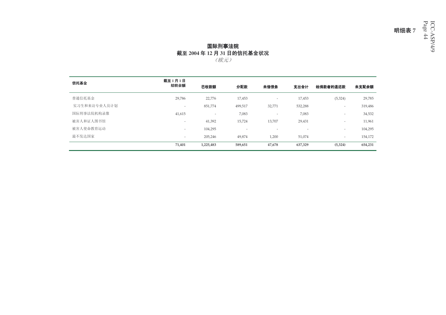ICC-ASP/4/9 Page 44

#### 国际刑事法院 截至 2004 年 12 月 31 日的信托基金状况 (欧元)

| 信托基金         | 截至1月1日                   |                          |                          |                          |                          |                          |         |
|--------------|--------------------------|--------------------------|--------------------------|--------------------------|--------------------------|--------------------------|---------|
|              | 结转余额                     | 已收款额                     | 分配款                      | 未偿债务                     | 支出合计                     | 给捐款者的退还款                 | 未支配余额   |
| 普通信托基金       | 29,786                   | 22,776                   | 17,453                   | $\overline{\phantom{a}}$ | 17,453                   | (5,324)                  | 29,785  |
| 实习生和来访专业人员计划 | $\overline{\phantom{a}}$ | 851,774                  | 499,517                  | 32,771                   | 532,288                  | $\overline{\phantom{a}}$ | 319,486 |
| 国际刑事法院机构录像   | 41,615                   | $\overline{\phantom{a}}$ | 7,083                    | $\overline{\phantom{a}}$ | 7,083                    | $\overline{\phantom{a}}$ | 34,532  |
| 被害人和证人图书馆    | $\overline{\phantom{m}}$ | 41,392                   | 15,724                   | 13,707                   | 29,431                   | $\overline{\phantom{a}}$ | 11,961  |
| 被害人使命教育运动    | $\overline{\phantom{a}}$ | 104,295                  | $\overline{\phantom{a}}$ | $\overline{\phantom{a}}$ | $\overline{\phantom{m}}$ | $\overline{\phantom{a}}$ | 104,295 |
| 最不发达国家       | $\overline{\phantom{a}}$ | 205,246                  | 49,874                   | 1,200                    | 51,074                   | $\overline{\phantom{a}}$ | 154,172 |
|              | 71,401                   | 1,225,483                | 589,651                  | 47,678                   | 637,329                  | (5,324)                  | 654,231 |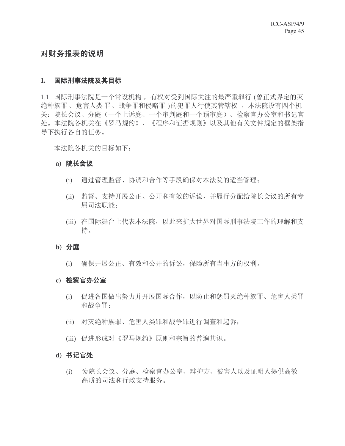## 对财务报表的说明

#### 1. 国际刑事法院及其目标

1.1 国际刑事法院是一个常设机构, 有权对受到国际关注的最严重罪行(曾正式界定的灭 绝种族罪、危害人类罪、战争罪和侵略罪)的犯罪人行使其管辖权。本法院设有四个机 关: 院长会议、分庭(一个上诉庭、一个审判庭和一个预审庭)、检察官办公室和书记官 处。本法院各机关在《罗马规约》、《程序和证据规则》以及其他有关文件规定的框架指 导下执行各自的任务。

本法院各机关的目标如下:

#### a) 院长会议

- (i) 通过管理监督、协调和合作等手段确保对本法院的适当管理:
- (ii) 监督、支持开展公正、公开和有效的诉讼,并履行分配给院长会议的所有专 属司法职能:
- (iii) 在国际舞台上代表本法院, 以此来扩大世界对国际刑事法院工作的理解和支 持。

#### **b)** 分庭

(i) 确保开展公正、有效和公开的诉讼, 保障所有当事方的权利。

#### c) 检察官办公室

- (i) 促进各国做出努力并开展国际合作, 以防止和惩罚灭绝种族罪、危害人类罪 和战争罪:
- (ii) 对灭绝种族罪、危害人类罪和战争罪进行调查和起诉;
- (iii) 促进形成对《罗马规约》原则和宗旨的普遍共识。

#### d) 书记官处

(i) 为院长会议、分庭、检察官办公室、辩护方、被害人以及证明人提供高效 高质的司法和行政支持服务。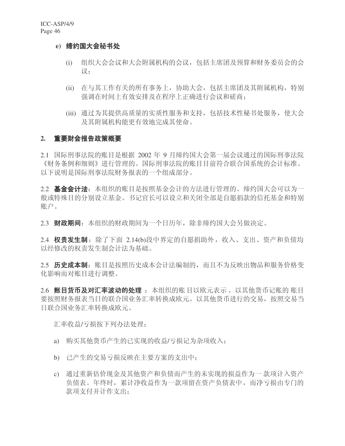#### e) 缔约国大会秘书处

- (i) 组织大会会议和大会附属机构的会议,包括主席团及预算和财务委员会的会 议;
- (ii) 在与其工作有关的所有事务上, 协助大会, 包括主席团及其附属机构, 特别 强调在时间上有效安排及在程序上正确讲行会议和磋商:
- (iii) 通过为其提供高质量的实质性服务和支持,包括技术性秘书处服务,使大会 及其附属机构能更有效地完成其使命。

#### 2. 重要财会报告政策概要

2.1 国际刑事法院的账目是根据 2002 年 9 月缔约国大会第一届会议通过的国际刑事法院 《财务条例和细则》进行管理的。国际刑事法院的账目目前符合联合国系统的会计标准。 以下说明是国际刑事法院财务报表的一个组成部分。

2.2 基金会计法: 本组织的账目是按照基金会计的方法进行管理的。缔约国大会可以为一 般或特殊目的分别设立基金。书记官长可以设立和关闭全部是自愿捐款的信托基金和特别 账户。

2.3 财政期间: 本组织的财政期间为一个日历年, 除非缔约国大会另做决定。

2.4 权责发生制: 除了下面 2.14(b)段中界定的自愿捐助外, 收入、支出、资产和负债均 以经修改的权责发生制会计法为基础。

2.5 历史成本制: 账目是按照历史成本会计法编制的, 而且不为反映出物品和服务价格变 化影响而对账目进行调整。

2.6 账目货币及对汇率波动的处理: 本组织的账目以欧元表示。以其他货币记账的 账目 要按照财务报表当日的联合国业务汇率转换成欧元。以其他货币进行的交易,按照交易当 日联合国业务汇率转换成欧元。

汇率收益/亏损按下列办法处理:

- a) 购买其他货币产生的已实现的收益/亏损记为杂项收入;
- b) 已产生的交易亏损反映在主要方案的支出中:
- c) 通过重新估价现金及其他资产和负债而产生的未实现的损益作为一款项计入资产 负债表。年终时, 累计净收益作为一款项留在资产负债表中, 而净亏损由专门的 款项支付并计作支出: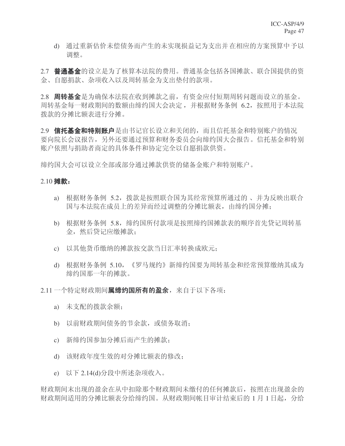d) 通过重新估价未偿债务而产生的未实现损益记为支出并在相应的方案预算中予以 调整。

2.7 普通基金的设立是为了核算本法院的费用。普通基金包括各国摊款、联合国提供的资 金、自愿捐款、杂项收入以及周转基金为支出垫付的款项。

2.8 周转基金是为确保本法院在收到摊款之前, 有资金应付短期周转问题而设立的基金。 周转基金每一财政期间的数额由缔约国大会决定,并根据财务条例 6.2, 按照用于本法院 拨款的分摊比额表进行分摊。

2.9 信托基金和特别账户是由书记官长设立和关闭的,而且信托基金和特别账户的情况 要向院长会议报告,另外还要通过预算和财务委员会向缔约国大会报告。信托基金和特别 账户依照与捐助者商定的具体条件和协定完全以自愿捐款供资。

缔约国大会可以设立全部或部分通过摊款供资的储备金账户和特别账户。

#### $2.10$  摊款:

- a) 根据财务条例 5.2, 拨款是按照联合国为其经常预算所通过的、并为反映出联合 国与本法院在成员上的差异而经过调整的分摊比额表, 由缔约国分摊;
- b) 根据财务条例 5.8, 缔约国所付款项是按照缔约国摊款表的顺序首先贷记周转基 金, 然后贷记应缴摊款;
- c) 以其他货币缴纳的摊款按交款当日汇率转换成欧元:
- d) 根据财务条例 5.10, 《罗马规约》新缔约国要为周转基金和经常预算缴纳其成为 缔约国那一年的摊款。
- 2.11 一个特定财政期间**属缔约国所有的盈余**, 来自于以下各项:
	- a) 未支配的拨款余额;
	- b) 以前财政期间债务的节余款, 或债务取消:
	- c) 新缔约国参加分摊后而产生的摊款;
	- d) 该财政年度生效的对分摊比额表的修改:
	- e) 以下 2.14(d)分段中所述杂项收入。

财政期间末出现的盈粂在从中扣除那个财政期间未缴付的任何摊款后,按照在出现盈余的 财政期间适用的分摊比额表分给缔约国。从财政期间帐目审计结束后的1月1日起,分给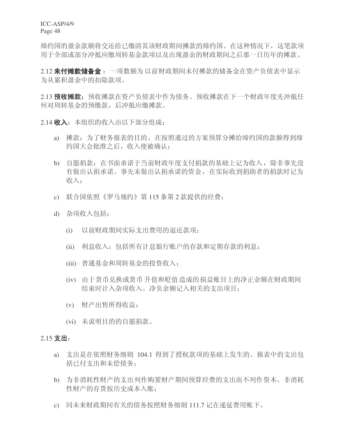缔约国的盈糸款额将交还给已缴清其该财政期间摊款的缔约国。在这种情况下,这笔款项 用于全部或部分冲抵应缴周转基金款项以及出现盈余的财政期间之后那一日历年的摊款。

2.12 未付摊款储备金: 一项数额为以前财政期间未付摊款的储备金在资产负债表中显示 为从累积盈余中的扣除款项。

2.13 预收摊款: 预收摊款在资产负债表中作为债务。预收摊款在下一个财政年度先冲抵任 何对周转基金的预缴款,后冲抵应缴摊款。

- $2.14 \, \text{kg}$ . 本组织的收入由以下部分组成:
	- a) 摊款:为了财务报表的目的,在按照通过的方案预算分摊给缔约国的款额得到缔 约国大会批准之后, 收入便被确认:
	- b) 自愿捐款: 在书面承诺于当前财政年度支付捐款的基础上记为收入, 除非事先没 有做出认捐承诺的资金, 在实际收到捐助者的捐款时记为 收入:
	- c) 联合国依照《罗马规约》第115 条第 2 款提供的经费;
	- d) 杂项收入包括:
		- (i) 以前财政期间实际支出费用的退还款项:
		- (ii) 利息收入: 包括所有计息银行账户的存款和定期存款的利息;
		- (iii) 普通基金和周转基金的投资收入:
		- (iv) 由于货币兑换或货币 升值和贬值造成的损益账目上的净正余额在财政期间 结束时计入杂项收入。净负余额记入相关的支出项目:
		- (v) 财产出售所得收益:
		- (vi) 未说明目的的自愿捐款。

### $2.15$  支出:

- a) 支出是在依照财务细则 104.1 得到了授权款项的基础上发生的。报表中的支出包 括已付支出和未偿债务:
- b) 为非消耗性财产的支出列作购置财产期间预算经费的支出而不列作资本, 非消耗 性财产的存货按历史成本入账:
- c) 同未来财政期间有关的债务按照财务细则 111.7 记在递延费用帐下。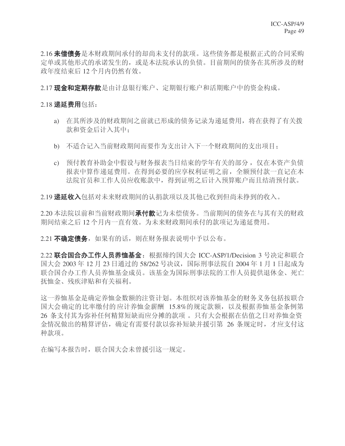2.16 未偿债务是本财政期间承付的却尚未支付的款项。这些债务都是根据正式的合同采购 定单或其他形式的承诺发生的, 或是本法院承认的负债。目前期间的债务在其所涉及的财 政年度结束后 12 个月内仍然有效。

2.17 现金和定期存款是由计息银行账户、定期银行账户和活期账户中的资金构成。

#### $2.18$  递延费用包括:

- a) 在其所涉及的财政期间之前就已形成的债务记录为递延费用, 将在获得了有关拨 款和资金后计入其中;
- b) 不适合记入当前财政期间而要作为支出计入下一个财政期间的支出项目:
- c) 预付教育补助金中假设与财务报表当日结束的学年有关的部分, 仅在本资产负债 报表中算作递延费用。在得到必要的应享权利证明之前, 全额预付款一直记在本 法院官员和工作人员应收账款中,得到证明之后计入预算账户而且结清预付款。

2.19 递延收入包括对未来财政期间的认捐款项以及其他已收到但尚未挣到的收入。

2.20 本法院以前和当前财政期间承付款记为未偿债务。当前期间的债务在与其有关的财政 期间结束之后 12 个月内一直有效。为未来财政期间承付的款项记为递延费用。

2.21 不确定债务, 如果有的话, 则在财务报表说明中予以公布。

 $2.22$  联合国合办工作人员养恤基金: 根据缔约国大会 ICC-ASP/1/Decision 3 号决定和联合 国大会 2003 年 12 月 23 日通过的 58/262 号决议, 国际刑事法院自 2004 年 1 月 1 日起成为 联合国合办工作人员养恤基金成员。该基金为国际刑事法院的工作人员提供退休金、死亡 抚恤金、残疾津贴和有关福利。

这一养恤基金是确定养恤金数额的注资计划。本组织对该养恤基金的财务义务包括按联合 国大会确定的比率缴付的应计养恤金薪酬 15.8%的规定款额, 以及根据养恤基金条例第 26 条支付其为弥补任何精算短缺而应分摊的款项。只有大会根据在估值之日对养恤金资 金情况做出的精算评估,确定有需要付款以弥补短缺并援引第 26 条规定时,才应支付这 种款项。

在编写本报告时, 联合国大会未曾援引这一规定。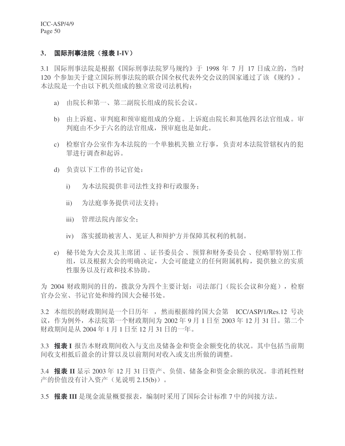ICC-ASP/4/9 Page 50

#### 3. 国际刑事法院 (报表 I-IV)

3.1 国际刑事法院是根据《国际刑事法院罗马规约》于 1998 年 7 月 17 日成立的,当时 120 个参加关于建立国际刑事法院的联合国全权代表外交会议的国家通过了该《规约》。 本法院是一个由以下机关组成的独立常设司法机构:

- a) 由院长和第一、第二副院长组成的院长会议。
- b) 由上诉庭、审判庭和预审庭组成的分庭。上诉庭由院长和其他四名法官组成。审 判庭由不少于六名的法官组成, 预审庭也是如此。
- c) 检察官办公室作为本法院的一个单独机关独立行事, 负责对本法院管辖权内的犯 罪讲行调杳和起诉。
- d) 负责以下工作的书记官处:
	- i) 为本法院提供非司法性支持和行政服务:
	- ii) 为法庭事务提供司法支持:
	- iii) 管理法院内部安全;
	- iv) 落实援助被害人、见证人和辩护方并保障其权利的机制。
- e) 秘书处为大会及其主席团 、证书委员会 、预算和财务委员会 、侵略罪特别工作 组, 以及根据大会的明确决定, 大会可能建立的任何附属机构, 提供独立的实质 性服务以及行政和技术协助。

为 2004 财政期间的目的, 拨款分为四个主要计划: 司法部门(院长会议和分庭), 检察 官办公室、书记官处和缔约国大会秘书处。

3.2 本组织的财政期间是一个日历年, 然而根据缔约国大会第 ICC/ASP/1/Res.12 号决 议, 作为例外, 本法院第一个财政期间为 2002年9月1日至 2003年12月31日。第二个 财政期间是从 2004 年 1 月 1 日至 12 月 31 日的一年。

3.3 报**表**Ⅰ 报告本财政期间收入与支出及储备金和资金余额变化的状况。其中包括当前期 间收支相抵后盈余的计算以及以前期间对收入或支出所做的调整。

3.4 **报表 Ⅱ** 显示 2003年 12 月 31 日资产、负债、储备金和资金余额的状况。非消耗性财 产的价值没有计入资产(见说明 2.15(b))。

3.5 报表 III 是现金流量概要报表, 编制时采用了国际会计标准7中的间接方法。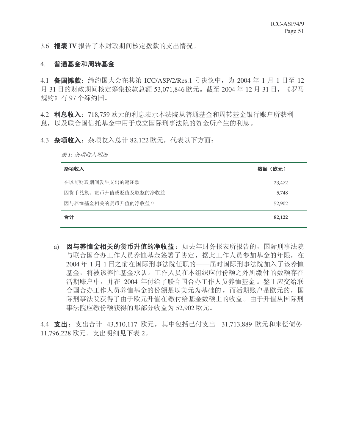3.6 报表 IV 报告了本财政期间核定拨款的支出情况。

#### 4. 普通基金和周转基金

4.1 各国摊款: 缔约国大会在其第 ICC/ASP/2/Res.1 号决议中, 为 2004 年 1 月 1 日至 12 月 31 日的财政期间核定筹集拨款总额 53,071,846 欧元。截至 2004 年 12 月 31 日, 《罗马 规约》有97个缔约国。

4.2 利息收入: 718,759 欧元的利息表示本法院从普通基金和周转基金银行账户所获利 息,以及联合国信托基金中用于成立国际刑事法院的资金所产生的利息。

4.3 杂项收入: 杂项收入总计 82,122 欧元, 代表以下方面:

表 1: 杂项收入明细

| 杂项收入                 | 数额 (欧元) |
|----------------------|---------|
| 在以前财政期间发生支出的返还款      | 23,472  |
| 因货币兑换、货币升值或贬值及取整的净收益 | 5,748   |
| 因与养恤基金相关的货币升值的净收益。)  | 52,902  |
| 合计                   | 82,122  |

a) 因与养恤金相关的货币升值的净收益: 如去年财务报表所报告的, 国际刑事法院 与联合国合办工作人员养恤基金签署了协定,据此工作人员参加基金的年限,在 2004年1月1日之前在国际刑事法院任职的——届时国际刑事法院加入了该养恤 基金, 将被该养恤基金承认。工作人员在本组织应付份额之外所缴付的数额存在 活期账户中, 并在 2004 年付给了联合国合办工作人员养恤基金。 鉴于应交给联 合国合办工作人员养恤基金的份额是以美元为基础的,而活期账户是欧元的,国 际刑事法院获得了由于欧元升值在缴付给基金数额上的收益。由于升值从国际刑 事法院应缴份额获得的那部分收益为 52,902 欧元。

4.4 支出:支出合计 43,510,117 欧元,其中包括已付支出 31,713,889 欧元和未偿债务 11,796,228 欧元. 支出明细见下表 2。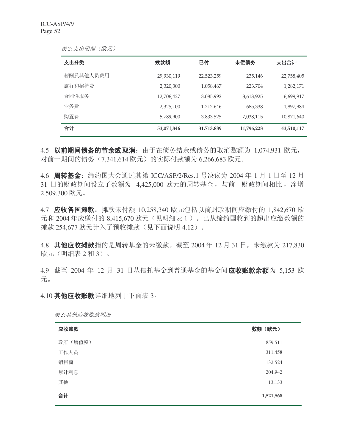| 支出分类      | 拨款额        | 已付         | 未偿债务       | 支出合计       |
|-----------|------------|------------|------------|------------|
| 薪酬及其他人员费用 | 29,930,119 | 22,523,259 | 235,146    | 22,758,405 |
| 旅行和招待费    | 2,320,300  | 1,058,467  | 223,704    | 1,282,171  |
| 合同性服务     | 12,706,427 | 3,085,992  | 3,613,925  | 6,699,917  |
| 业务费       | 2,325,100  | 1,212,646  | 685,338    | 1,897,984  |
| 购置费       | 5,789,900  | 3,833,525  | 7,038,115  | 10,871,640 |
| 合计        | 53,071,846 | 31,713,889 | 11,796,228 | 43,510,117 |

表 2: 支出明细 (欧元)

4.5 以前期间债务的节余或取消: 由于在债务结余或债务的取消数额为 1,074,931 欧元, 对前一期间的债务 (7.341,614 欧元) 的实际付款额为 6.266,683 欧元。

4.6 周转基金: 缔约国大会通过其第 ICC/ASP/2/Res.1 号决议为 2004 年 1 月 1 日至 12 月 31 日的财政期间设立了数额为 4,425,000 欧元的周转基金, 与前一财政期间相比, 净增 2,509,300 欧元。

4.7 应收各国摊款: 摊款未付额 10,258,340 欧元包括以前财政期间应缴付的 1,842,670 欧 元和 2004年应缴付的 8,415,670 欧元(见明细表1)。已从缔约国收到的超出应缴数额的 摊款 254,677 欧元计入了预收摊款(见下面说明 4.12)。

4.8 其他应收摊款指的是周转基金的未缴款。截至 2004 年 12 月 31 日, 未缴款为 217,830 欧元(明细表 2 和 3)。

4.9 截至 2004 年 12 月 31 日从信托基金到普通基金的基金间**应收账款余额**为 5.153 欧 元。

4.10 其他应收账款详细地列于下面表 3。

| 应收账款    | 数额(欧元)    |
|---------|-----------|
| 政府(增值税) | 859,511   |
| 工作人员    | 311,458   |
| 销售商     | 132,524   |
| 累计利息    | 204,942   |
| 其他      | 13,133    |
| 合计      | 1,521,568 |

表 3: 其他应收账款明细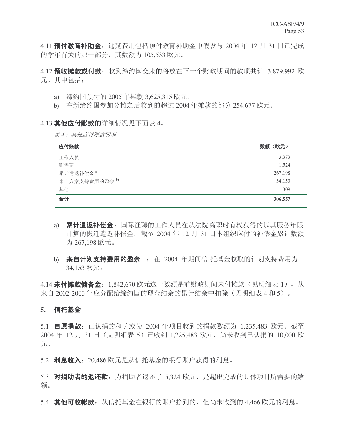4.11 预付教育补助金:递延费用包括预付教育补助金中假设与 2004 年 12 月 31 日已完成 的学年有关的那一部分, 其数额为105.533 欧元。

4.12 预收摊款或付款: 收到缔约国交来的将放在下一个财政期间的款项共计 3,879,992 欧 元。其中包括:

- a) 缔约国预付的 2005 年摊款 3,625,315 欧元。
- ь 在新缔约国参加分摊之后收到的超过 2004 年摊款的部分 254,677 欧元。
- 4.13 其他应付账款的详细情况见下面表 4。

表 4: 其他应付账款明细

| 应付账款                      | 数额(欧元)  |
|---------------------------|---------|
| 工作人员                      | 3,373   |
| 销售商                       | 1,524   |
| 累计遣返补偿金 <sup>a)</sup>     | 267,198 |
| 来自方案支持费用的盈余 <sup>b)</sup> | 34,153  |
| 其他                        | 309     |
| 合计                        | 306,557 |

- a) 累计遣返补偿金: 国际征聘的工作人员在从法院离职时有权获得的以其服务年限 计算的搬迁遣返补偿金。截至 2004 年 12 月 31 日本组织应付的补偿金累计数额 为 267,198 欧元。
- b) 来自计划支持费用的盈余: 在 2004 年期间信 托基金收取的计划支持费用为 34,153 欧元。

4.14 未付摊款储备金: 1,842,670 欧元这一数额是前财政期间未付摊款(见明细表 1), 从 来自2002-2003年应分配给缔约国的现金结余的累计结余中扣除(见明细表4和5)。

#### 5. 信托基金

5.1 自愿捐款: 已认捐的和 / 或为 2004 年项目收到的捐款数额为 1.235.483 欧元。截至 2004 年 12 月 31 日 (见明细表 5) 已收到 1.225.483 欧元, 尚未收到已认捐的 10,000 欧 元。

5.2 利息收入: 20.486 欧元是从信托基金的银行账户获得的利息。

5.3 对捐助者的退还款: 为捐助者退还了 5,324 欧元, 是超出完成的具体项目所需要的数 额。

5.4 其他可收帐款: 从信托基金在银行的账户挣到的、但尚未收到的 4,466 欧元的利息。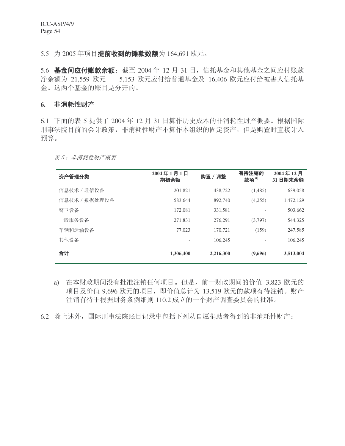ICC-ASP/4/9 Page 54

5.5 为 2005年项目提前收到的摊款数额为 164,691 欧元。

5.6 基金间应付账款余额: 截至 2004 年 12 月 31 日, 信托基金和其他基金之间应付账款 净余额为 21,559 欧元——5,153 欧元应付给普通基金及 16,406 欧元应付给被害人信托基 金。这两个基金的账目是分开的。

#### 6. 非消耗性财产

6.1 下面的表 5 提供了 2004 年 12 月 31 日算作历史成本的非消耗性财产概要。根据国际 刑事法院目前的会计政策, 非消耗性财产不算作本组织的固定资产, 但是购置时直接计入 预算。

| 表 5: |  | 非消耗性财产概要 |  |
|------|--|----------|--|
|      |  |          |  |

| 资产管理分类        | 2004年1月1日<br>期初余额 | 购置 / 调整   | 有待注销的<br>款项 $a$ ) | 2004年12月<br>31日期末余额 |
|---------------|-------------------|-----------|-------------------|---------------------|
| 信息技术 / 通信设备   | 201,821           | 438,722   | (1,485)           | 639,058             |
| 信息技术 / 数据处理设备 | 583,644           | 892,740   | (4,255)           | 1,472,129           |
| 警卫设备          | 172,081           | 331,581   |                   | 503,662             |
| 一般服务设备        | 271,831           | 276,291   | (3,797)           | 544,325             |
| 车辆和运输设备       | 77,023            | 170,721   | (159)             | 247,585             |
| 其他设备          |                   | 106,245   |                   | 106,245             |
| 合计            | 1,306,400         | 2,216,300 | (9,696)           | 3,513,004           |

a) 在本财政期间没有批准注销任何项目。但是, 前一财政期间的价值 3,823 欧元的 项目及价值 9,696 欧元的项目, 即价值总计为 13,519 欧元的款项有待注销。财产 注销有待于根据财务条例细则 110.2 成立的一个财产调查委员会的批准。

6.2 除上述外, 国际刑事法院账目记录中包括下列从自愿捐助者得到的非消耗性财产: